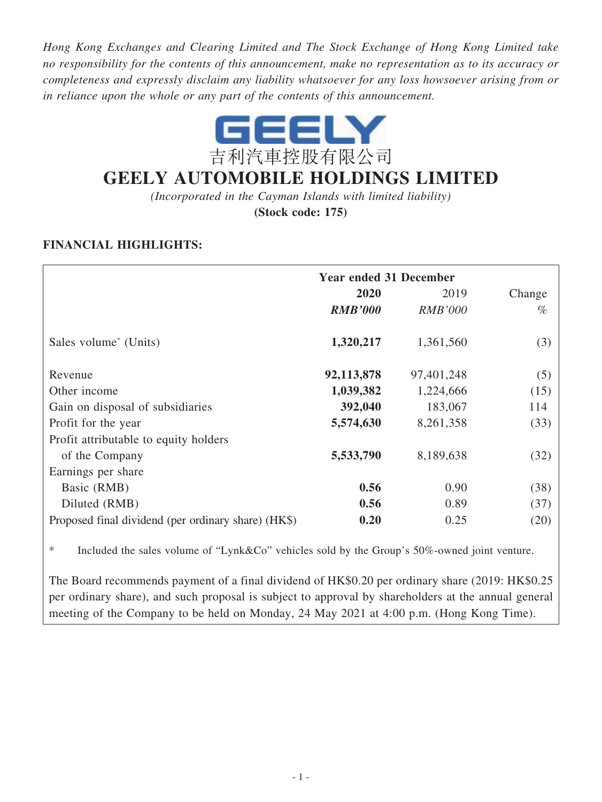*Hong Kong Exchanges and Clearing Limited and The Stock Exchange of Hong Kong Limited take no responsibility for the contents of this announcement, make no representation as to its accuracy or completeness and expressly disclaim any liability whatsoever for any loss howsoever arising from or in reliance upon the whole or any part of the contents of this announcement.*



# **GEELY AUTOMOBILE HOLDINGS LIMITED**

*(Incorporated in the Cayman Islands with limited liability)*

**(Stock code: 175)**

# **FINANCIAL HIGHLIGHTS:**

|                                                     | <b>Year ended 31 December</b> |                |      |  |  |
|-----------------------------------------------------|-------------------------------|----------------|------|--|--|
|                                                     | 2020<br>2019                  |                |      |  |  |
|                                                     | <b>RMB'000</b>                | <i>RMB'000</i> | $\%$ |  |  |
| Sales volume <sup>*</sup> (Units)                   | 1,320,217                     | 1,361,560      | (3)  |  |  |
| Revenue                                             | 92,113,878                    | 97,401,248     | (5)  |  |  |
| Other income                                        | 1,039,382                     | 1,224,666      | (15) |  |  |
| Gain on disposal of subsidiaries                    | 392,040                       | 183,067        | 114  |  |  |
| Profit for the year                                 | 5,574,630                     | 8,261,358      | (33) |  |  |
| Profit attributable to equity holders               |                               |                |      |  |  |
| of the Company                                      | 5,533,790                     | 8,189,638      | (32) |  |  |
| Earnings per share                                  |                               |                |      |  |  |
| Basic (RMB)                                         | 0.56                          | 0.90           | (38) |  |  |
| Diluted (RMB)                                       | 0.56                          | 0.89           | (37) |  |  |
| Proposed final dividend (per ordinary share) (HK\$) | 0.20                          | 0.25           | (20) |  |  |

\* Included the sales volume of "Lynk&Co" vehicles sold by the Group's 50%-owned joint venture.

The Board recommends payment of a final dividend of HK\$0.20 per ordinary share (2019: HK\$0.25 per ordinary share), and such proposal is subject to approval by shareholders at the annual general meeting of the Company to be held on Monday, 24 May 2021 at 4:00 p.m. (Hong Kong Time).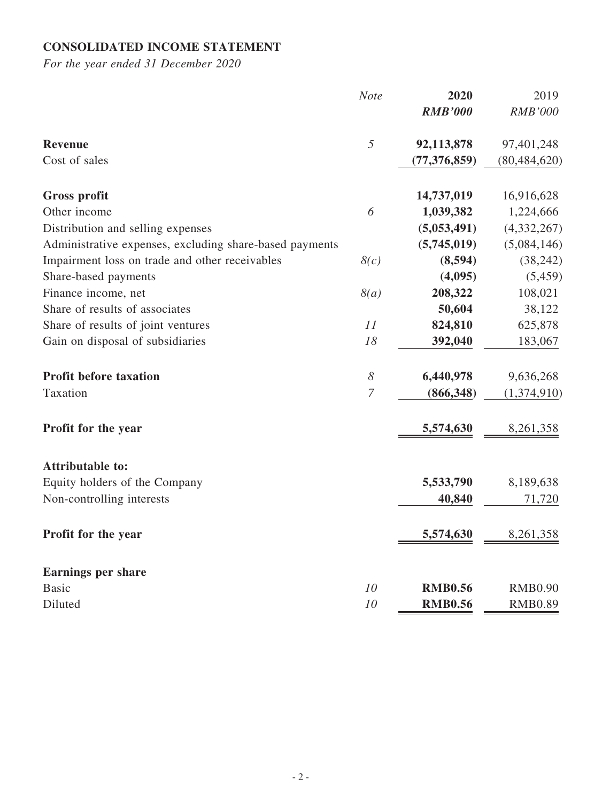# **CONSOLIDATED INCOME STATEMENT**

|                                                         | <b>Note</b>    | 2020           | 2019           |
|---------------------------------------------------------|----------------|----------------|----------------|
|                                                         |                | <b>RMB'000</b> | <b>RMB'000</b> |
| Revenue                                                 | 5              | 92,113,878     | 97,401,248     |
| Cost of sales                                           |                | (77, 376, 859) | (80, 484, 620) |
| Gross profit                                            |                | 14,737,019     | 16,916,628     |
| Other income                                            | 6              | 1,039,382      | 1,224,666      |
| Distribution and selling expenses                       |                | (5,053,491)    | (4,332,267)    |
| Administrative expenses, excluding share-based payments |                | (5,745,019)    | (5,084,146)    |
| Impairment loss on trade and other receivables          | 8(c)           | (8,594)        | (38, 242)      |
| Share-based payments                                    |                | (4,095)        | (5, 459)       |
| Finance income, net                                     | 8(a)           | 208,322        | 108,021        |
| Share of results of associates                          |                | 50,604         | 38,122         |
| Share of results of joint ventures                      | 11             | 824,810        | 625,878        |
| Gain on disposal of subsidiaries                        | 18             | 392,040        | 183,067        |
| <b>Profit before taxation</b>                           | 8              | 6,440,978      | 9,636,268      |
| Taxation                                                | $\overline{7}$ | (866, 348)     | (1,374,910)    |
| Profit for the year                                     |                | 5,574,630      | 8,261,358      |
| <b>Attributable to:</b>                                 |                |                |                |
| Equity holders of the Company                           |                | 5,533,790      | 8,189,638      |
| Non-controlling interests                               |                | 40,840         | 71,720         |
| Profit for the year                                     |                | 5,574,630      | 8,261,358      |
| <b>Earnings per share</b>                               |                |                |                |
| <b>Basic</b>                                            | 10             | <b>RMB0.56</b> | <b>RMB0.90</b> |
| Diluted                                                 | 10             | <b>RMB0.56</b> | <b>RMB0.89</b> |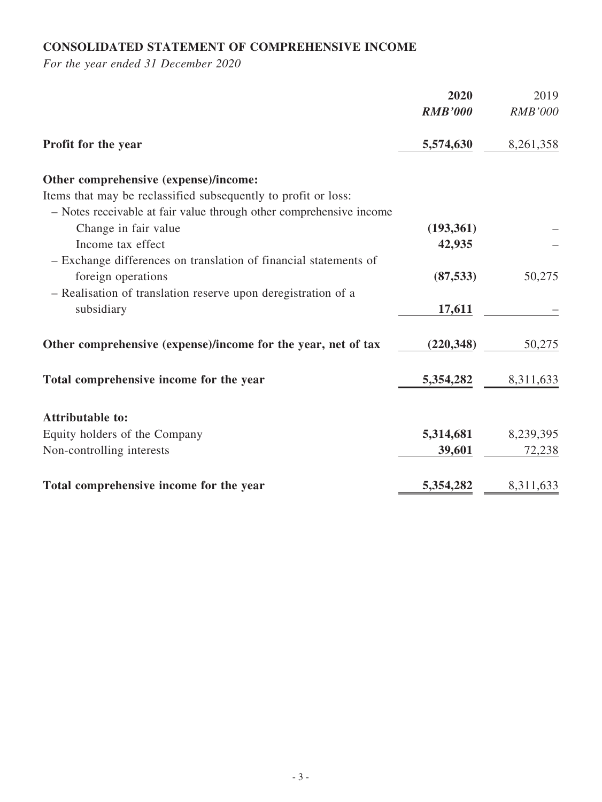# **CONSOLIDATED STATEMENT OF COMPREHENSIVE INCOME**

|                                                                     | 2020           | 2019           |
|---------------------------------------------------------------------|----------------|----------------|
|                                                                     | <b>RMB'000</b> | <b>RMB'000</b> |
| Profit for the year                                                 | 5,574,630      | 8,261,358      |
| Other comprehensive (expense)/income:                               |                |                |
| Items that may be reclassified subsequently to profit or loss:      |                |                |
| - Notes receivable at fair value through other comprehensive income |                |                |
| Change in fair value                                                | (193, 361)     |                |
| Income tax effect                                                   | 42,935         |                |
| - Exchange differences on translation of financial statements of    |                |                |
| foreign operations                                                  | (87, 533)      | 50,275         |
| - Realisation of translation reserve upon deregistration of a       |                |                |
| subsidiary                                                          | 17,611         |                |
| Other comprehensive (expense)/income for the year, net of tax       | (220, 348)     | 50,275         |
| Total comprehensive income for the year                             | 5,354,282      | 8,311,633      |
| <b>Attributable to:</b>                                             |                |                |
| Equity holders of the Company                                       | 5,314,681      | 8,239,395      |
| Non-controlling interests                                           | 39,601         | 72,238         |
| Total comprehensive income for the year                             | 5,354,282      | 8,311,633      |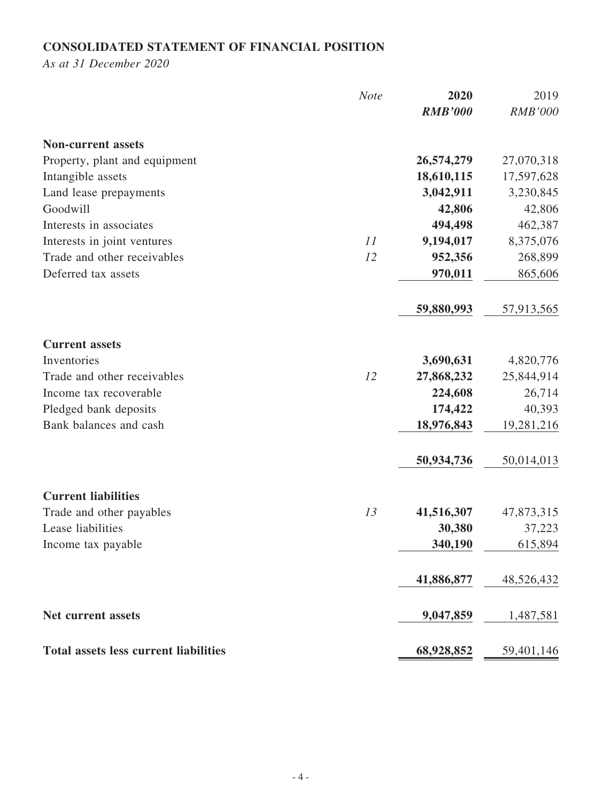# **CONSOLIDATED STATEMENT OF FINANCIAL POSITION**

*As at 31 December 2020*

|                                              | <b>Note</b> | 2020           | 2019           |
|----------------------------------------------|-------------|----------------|----------------|
|                                              |             | <b>RMB'000</b> | <b>RMB'000</b> |
| <b>Non-current assets</b>                    |             |                |                |
| Property, plant and equipment                |             | 26,574,279     | 27,070,318     |
| Intangible assets                            |             | 18,610,115     | 17,597,628     |
| Land lease prepayments                       |             | 3,042,911      | 3,230,845      |
| Goodwill                                     |             | 42,806         | 42,806         |
| Interests in associates                      |             | 494,498        | 462,387        |
| Interests in joint ventures                  | 11          | 9,194,017      | 8,375,076      |
| Trade and other receivables                  | 12          | 952,356        | 268,899        |
| Deferred tax assets                          |             | 970,011        | 865,606        |
|                                              |             | 59,880,993     | 57,913,565     |
| <b>Current assets</b>                        |             |                |                |
| Inventories                                  |             | 3,690,631      | 4,820,776      |
| Trade and other receivables                  | 12          | 27,868,232     | 25,844,914     |
| Income tax recoverable                       |             | 224,608        | 26,714         |
| Pledged bank deposits                        |             | 174,422        | 40,393         |
| Bank balances and cash                       |             | 18,976,843     | 19,281,216     |
|                                              |             | 50,934,736     | 50,014,013     |
| <b>Current liabilities</b>                   |             |                |                |
| Trade and other payables                     | 13          | 41,516,307     | 47,873,315     |
| Lease liabilities                            |             | 30,380         | 37,223         |
| Income tax payable                           |             | 340,190        | 615,894        |
|                                              |             | 41,886,877     | 48,526,432     |
| Net current assets                           |             | 9,047,859      | 1,487,581      |
| <b>Total assets less current liabilities</b> |             | 68,928,852     | 59,401,146     |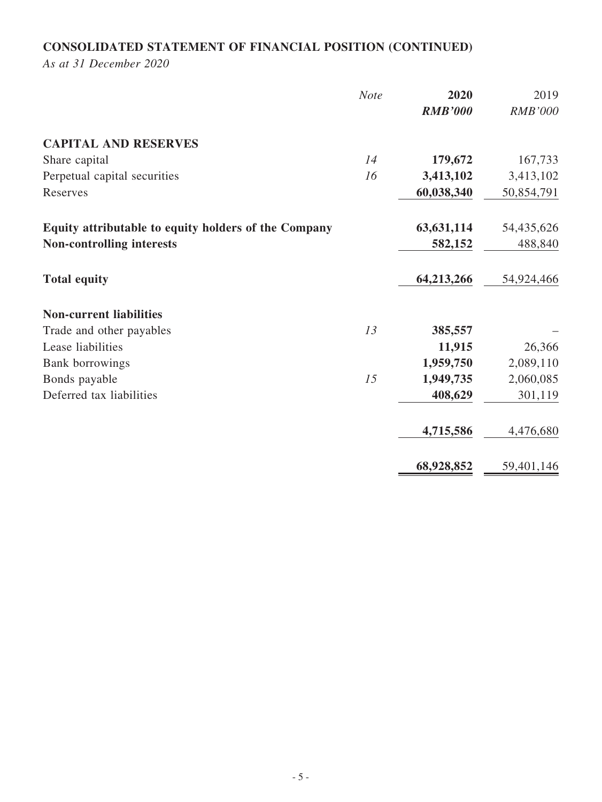# **CONSOLIDATED STATEMENT OF FINANCIAL POSITION (CONTINUED)**

*As at 31 December 2020*

|                                                      | <b>Note</b> | 2020<br><b>RMB'000</b> | 2019<br><b>RMB'000</b> |
|------------------------------------------------------|-------------|------------------------|------------------------|
| <b>CAPITAL AND RESERVES</b>                          |             |                        |                        |
| Share capital                                        | 14          | 179,672                | 167,733                |
| Perpetual capital securities                         | 16          | 3,413,102              | 3,413,102              |
| Reserves                                             |             | 60,038,340             | 50,854,791             |
| Equity attributable to equity holders of the Company |             | 63, 631, 114           | 54,435,626             |
| <b>Non-controlling interests</b>                     |             | 582,152                | 488,840                |
| <b>Total equity</b>                                  |             | 64,213,266             | 54,924,466             |
| <b>Non-current liabilities</b>                       |             |                        |                        |
| Trade and other payables                             | 13          | 385,557                |                        |
| Lease liabilities                                    |             | 11,915                 | 26,366                 |
| Bank borrowings                                      |             | 1,959,750              | 2,089,110              |
| Bonds payable                                        | 15          | 1,949,735              | 2,060,085              |
| Deferred tax liabilities                             |             | 408,629                | 301,119                |
|                                                      |             | 4,715,586              | 4,476,680              |
|                                                      |             | 68,928,852             | 59,401,146             |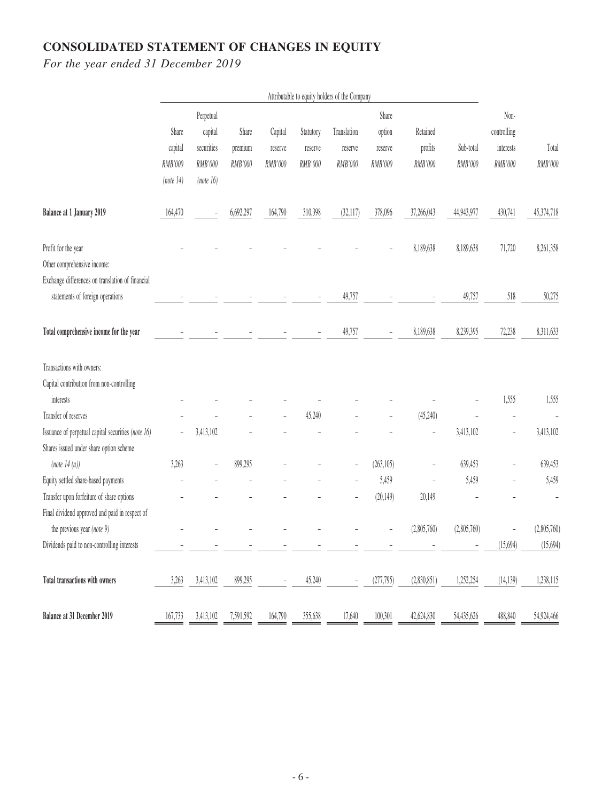# **CONSOLIDATED STATEMENT OF CHANGES IN EQUITY**

|                                                    | Attributable to equity holders of the Company |            |           |         |           |             |            |                          |             |                |             |
|----------------------------------------------------|-----------------------------------------------|------------|-----------|---------|-----------|-------------|------------|--------------------------|-------------|----------------|-------------|
|                                                    |                                               | Perpetual  |           |         |           |             | Share      |                          |             | Non-           |             |
|                                                    | Share                                         | capital    | Share     | Capital | Statutory | Translation | option     | Retained                 |             | controlling    |             |
|                                                    | capital                                       | securities | premium   | reserve | reserve   | reserve     | reserve    | profits                  | Sub-total   | interests      | Total       |
|                                                    | RMB'000                                       | RMB'000    | RMB'000   | RMB'000 | RMB'000   | RMB'000     | RMB'000    | RMB'000                  | RMB'000     | RMB'000        | RMB'000     |
|                                                    | (note 14)                                     | (note 16)  |           |         |           |             |            |                          |             |                |             |
| Balance at 1 January 2019                          | 164,470                                       |            | 6,692,297 | 164,790 | 310,398   | (32, 117)   | 378,096    | 37,266,043               | 44,943,977  | 430,741        | 45,374,718  |
| Profit for the year                                |                                               |            |           |         |           |             |            | 8,189,638                | 8,189,638   | 71,720         | 8,261,358   |
| Other comprehensive income:                        |                                               |            |           |         |           |             |            |                          |             |                |             |
| Exchange differences on translation of financial   |                                               |            |           |         |           |             |            |                          |             |                |             |
| statements of foreign operations                   |                                               |            |           |         |           | 49,757      |            |                          | 49,757      | 518            | 50,275      |
| Total comprehensive income for the year            |                                               |            |           |         |           | 49,757      |            | 8,189,638                | 8,239,395   | 72,238         | 8,311,633   |
| Transactions with owners:                          |                                               |            |           |         |           |             |            |                          |             |                |             |
| Capital contribution from non-controlling          |                                               |            |           |         |           |             |            |                          |             |                |             |
| interests                                          |                                               |            |           |         |           |             |            |                          |             | 1,555          | 1,555       |
| Transfer of reserves                               |                                               |            |           |         | 45,240    |             |            | (45,240)                 |             |                |             |
| Issuance of perpetual capital securities (note 16) | $\overline{a}$                                | 3,413,102  |           |         |           |             |            | $\overline{\phantom{0}}$ | 3,413,102   | $\overline{a}$ | 3,413,102   |
| Shares issued under share option scheme            |                                               |            |           |         |           |             |            |                          |             |                |             |
| (note 14(a))                                       | 3,263                                         |            | 899,295   |         |           |             | (263, 105) |                          | 639,453     |                | 639,453     |
| Equity settled share-based payments                |                                               |            |           |         |           |             | 5,459      |                          | 5,459       |                | 5,459       |
| Transfer upon forfeiture of share options          |                                               |            |           |         |           |             | (20, 149)  | 20,149                   |             |                |             |
| Final dividend approved and paid in respect of     |                                               |            |           |         |           |             |            |                          |             |                |             |
| the previous year (note 9)                         |                                               |            |           |         |           |             |            | (2,805,760)              | (2,805,760) |                | (2,805,760) |
| Dividends paid to non-controlling interests        |                                               |            |           |         |           |             |            |                          |             | (15, 694)      | (15,694)    |
| Total transactions with owners                     | 3,263                                         | 3,413,102  | 899,295   |         | 45,240    |             | (277,795)  | (2,830,851)              | 1,252,254   | (14, 139)      | 1,238,115   |
| Balance at 31 December 2019                        | 167,733                                       | 3,413,102  | 7,591,592 | 164,790 | 355,638   | 17,640      | 100,301    | 42,624,830               | 54,435,626  | 488,840        | 54,924,466  |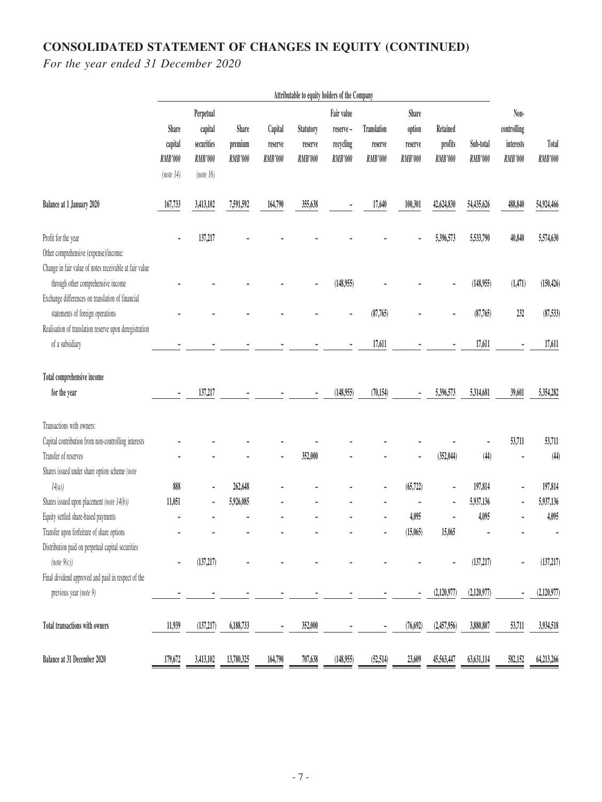# **CONSOLIDATED STATEMENT OF CHANGES IN EQUITY (CONTINUED)**

|                                                                                                                        |                                          | Attributable to equity holders of the Company              |                             |                               |                                        |                                                |                                          |                                       |                                       |                      |                                             |                  |
|------------------------------------------------------------------------------------------------------------------------|------------------------------------------|------------------------------------------------------------|-----------------------------|-------------------------------|----------------------------------------|------------------------------------------------|------------------------------------------|---------------------------------------|---------------------------------------|----------------------|---------------------------------------------|------------------|
|                                                                                                                        | Share<br>capital<br>RMB'000<br>(note 14) | Perpetual<br>capital<br>securities<br>RMB'000<br>(note 16) | Share<br>premium<br>RMB'000 | Capital<br>reserve<br>RMB'000 | Statutory<br>reserve<br><b>RMB'000</b> | Fair value<br>reserve-<br>recycling<br>RMB'000 | Translation<br>reserve<br><b>RMB'000</b> | Share<br>option<br>reserve<br>RMB'000 | Retained<br>profits<br><b>RMB'000</b> | Sub-total<br>RMB'000 | Non-<br>controlling<br>interests<br>RMB'000 | Total<br>RMB'000 |
| Balance at 1 January 2020                                                                                              | 167,733                                  | 3,413,102                                                  | 7,591,592                   | 164,790                       | 355,638                                |                                                | 17,640                                   | 100,301                               | 42,624,830                            | 54,435,626           | 488,840                                     | 54,924,466       |
| Profit for the year<br>Other comprehensive (expense)/income:<br>Change in fair value of notes receivable at fair value |                                          | 137,217                                                    |                             |                               |                                        |                                                |                                          | ٠                                     | 5,396,573                             | 5,533,790            | 40,840                                      | 5,574,630        |
| through other comprehensive income<br>Exchange differences on translation of financial                                 |                                          |                                                            |                             |                               |                                        | (148,955)                                      |                                          |                                       |                                       | (148,955)            | (1, 471)                                    | (150, 426)       |
| statements of foreign operations<br>Realisation of translation reserve upon deregistration                             |                                          |                                                            |                             |                               |                                        |                                                | (87,765)                                 |                                       |                                       | (87,765)             | 232                                         | (87, 533)        |
| of a subsidiary                                                                                                        |                                          |                                                            |                             |                               |                                        |                                                | 17,611                                   |                                       |                                       | 17,611               |                                             | 17,611           |
| Total comprehensive income                                                                                             |                                          |                                                            |                             |                               |                                        |                                                |                                          |                                       |                                       |                      |                                             |                  |
| for the year                                                                                                           |                                          | 137,217                                                    |                             |                               |                                        | (148,955)                                      | (70, 154)                                |                                       | 5,396,573                             | 5,314,681            | 39,601                                      | 5,354,282        |
| Transactions with owners:                                                                                              |                                          |                                                            |                             |                               |                                        |                                                |                                          |                                       |                                       |                      |                                             |                  |
| Capital contribution from non-controlling interests                                                                    |                                          |                                                            |                             |                               |                                        |                                                |                                          |                                       |                                       |                      | 53,711                                      | 53,711           |
| Transfer of reserves                                                                                                   |                                          |                                                            |                             |                               | 352,000                                |                                                |                                          | ä,                                    | (352, 044)                            | (44)                 |                                             | (44)             |
| Shares issued under share option scheme (note                                                                          |                                          |                                                            |                             |                               |                                        |                                                |                                          |                                       |                                       |                      |                                             |                  |
| 14(a)                                                                                                                  | 888                                      | $\blacksquare$                                             | 262,648                     |                               |                                        |                                                |                                          | (65, 722)                             |                                       | 197,814              |                                             | 197,814          |
| Shares issued upon placement (note 14(b))                                                                              | 11,051                                   | ä,                                                         | 5,926,085                   |                               |                                        |                                                |                                          |                                       |                                       | 5,937,136            |                                             | 5,937,136        |
| Equity settled share-based payments                                                                                    |                                          |                                                            |                             |                               |                                        |                                                |                                          | 4,095                                 |                                       | 4,095                |                                             | 4,095            |
| Transfer upon forfeiture of share options                                                                              |                                          |                                                            |                             |                               |                                        |                                                |                                          | (15,065)                              | 15,065                                |                      |                                             |                  |
| Distribution paid on perpetual capital securities                                                                      |                                          |                                                            |                             |                               |                                        |                                                |                                          |                                       |                                       |                      |                                             |                  |
| $(note \space 9(c))$                                                                                                   |                                          | (137, 217)                                                 |                             |                               |                                        |                                                |                                          |                                       |                                       | (137, 217)           |                                             | (137, 217)       |
| Final dividend approved and paid in respect of the                                                                     |                                          |                                                            |                             |                               |                                        |                                                |                                          |                                       |                                       |                      |                                             |                  |
| previous year (note 9)                                                                                                 |                                          |                                                            |                             |                               |                                        |                                                |                                          |                                       | (2,120,977)                           | (2,120,977)          |                                             | (2,120,977)      |
| Total transactions with owners                                                                                         | 11,939                                   | (137, 217)                                                 | 6,188,733                   | $\overline{\phantom{a}}$      | 352,000                                |                                                | ٠                                        | (76, 692)                             | (2,457,956)                           | 3,880,807            | 53,711                                      | 3,934,518        |
| Balance at 31 December 2020                                                                                            | 179,672                                  | 3,413,102                                                  | 13,780,325                  | 164,790                       | 707,638                                | (148,955)                                      | (52, 514)                                | 23,609                                | 45,563,447                            | 63,631,114           | 582,152                                     | 64,213,266       |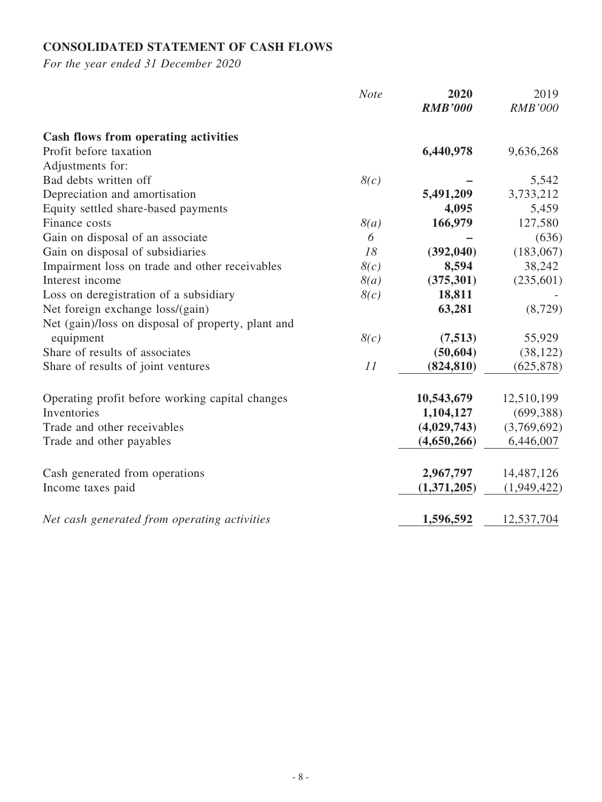# **CONSOLIDATED STATEMENT OF CASH FLOWS**

| <b>Note</b>                                            | 2020<br><b>RMB'000</b> | 2019<br><b>RMB'000</b> |
|--------------------------------------------------------|------------------------|------------------------|
|                                                        |                        |                        |
| <b>Cash flows from operating activities</b>            |                        |                        |
| Profit before taxation                                 | 6,440,978              | 9,636,268              |
| Adjustments for:                                       |                        |                        |
| Bad debts written off<br>8(c)                          |                        | 5,542                  |
| Depreciation and amortisation                          | 5,491,209              | 3,733,212              |
| Equity settled share-based payments                    | 4,095                  | 5,459                  |
| 8(a)<br>Finance costs                                  | 166,979                | 127,580                |
| Gain on disposal of an associate<br>6                  |                        | (636)                  |
| Gain on disposal of subsidiaries<br>18                 | (392,040)              | (183,067)              |
| Impairment loss on trade and other receivables<br>8(c) | 8,594                  | 38,242                 |
| Interest income<br>8(a)                                | (375, 301)             | (235, 601)             |
| Loss on deregistration of a subsidiary<br>8(c)         | 18,811                 |                        |
| Net foreign exchange loss/(gain)                       | 63,281                 | (8, 729)               |
| Net (gain)/loss on disposal of property, plant and     |                        |                        |
| 8(c)<br>equipment                                      | (7,513)                | 55,929                 |
| Share of results of associates                         | (50, 604)              | (38, 122)              |
| Share of results of joint ventures<br>11               | (824, 810)             | (625, 878)             |
|                                                        |                        |                        |
| Operating profit before working capital changes        | 10,543,679             | 12,510,199             |
| Inventories                                            | 1,104,127              | (699, 388)             |
| Trade and other receivables                            | (4,029,743)            | (3,769,692)            |
| Trade and other payables                               | (4,650,266)            | 6,446,007              |
|                                                        |                        |                        |
| Cash generated from operations                         | 2,967,797              | 14,487,126             |
| Income taxes paid                                      | (1,371,205)            | (1,949,422)            |
| Net cash generated from operating activities           | 1,596,592              | 12,537,704             |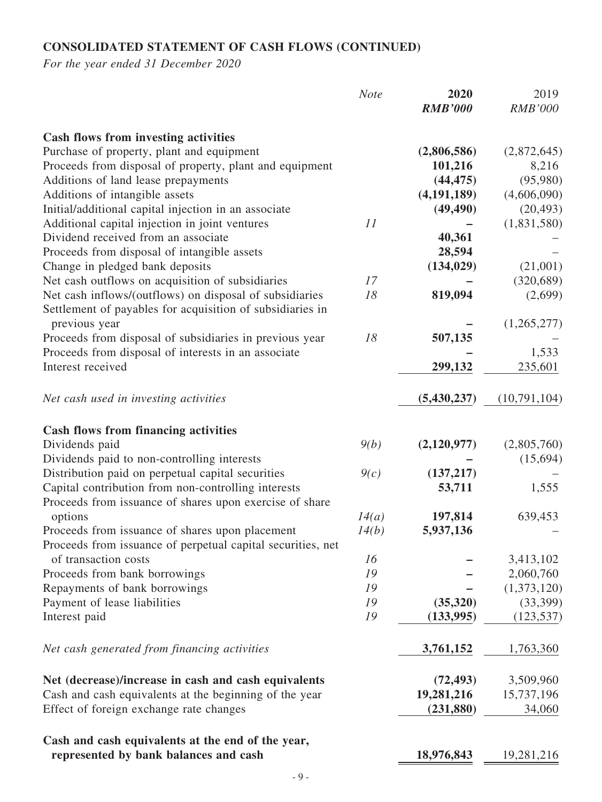# **CONSOLIDATED STATEMENT OF CASH FLOWS (CONTINUED)**

|                                                                                                                      | <b>Note</b> | 2020<br><b>RMB'000</b> | 2019<br><b>RMB'000</b> |
|----------------------------------------------------------------------------------------------------------------------|-------------|------------------------|------------------------|
| Cash flows from investing activities                                                                                 |             |                        |                        |
| Purchase of property, plant and equipment                                                                            |             | (2,806,586)            | (2,872,645)            |
| Proceeds from disposal of property, plant and equipment                                                              |             | 101,216                | 8,216                  |
| Additions of land lease prepayments                                                                                  |             | (44, 475)              | (95,980)               |
| Additions of intangible assets                                                                                       |             | (4, 191, 189)          | (4,606,090)            |
| Initial/additional capital injection in an associate                                                                 |             | (49, 490)              | (20, 493)              |
| Additional capital injection in joint ventures                                                                       | 11          |                        | (1,831,580)            |
| Dividend received from an associate                                                                                  |             | 40,361                 |                        |
| Proceeds from disposal of intangible assets                                                                          |             | 28,594                 |                        |
| Change in pledged bank deposits                                                                                      |             | (134, 029)             | (21,001)               |
| Net cash outflows on acquisition of subsidiaries                                                                     | 17          |                        | (320, 689)             |
| Net cash inflows/(outflows) on disposal of subsidiaries<br>Settlement of payables for acquisition of subsidiaries in | 18          | 819,094                | (2,699)                |
| previous year                                                                                                        |             |                        | (1,265,277)            |
| Proceeds from disposal of subsidiaries in previous year                                                              | 18          | 507,135                |                        |
| Proceeds from disposal of interests in an associate                                                                  |             |                        | 1,533                  |
| Interest received                                                                                                    |             | 299,132                | 235,601                |
| Net cash used in investing activities                                                                                |             | (5, 430, 237)          | (10,791,104)           |
| <b>Cash flows from financing activities</b>                                                                          |             |                        |                        |
| Dividends paid                                                                                                       | 9(b)        | (2,120,977)            | (2,805,760)            |
| Dividends paid to non-controlling interests                                                                          |             |                        | (15, 694)              |
| Distribution paid on perpetual capital securities                                                                    | 9(c)        | (137, 217)             |                        |
| Capital contribution from non-controlling interests                                                                  |             | 53,711                 | 1,555                  |
| Proceeds from issuance of shares upon exercise of share                                                              |             |                        |                        |
| options                                                                                                              | 14(a)       | 197,814                | 639,453                |
| Proceeds from issuance of shares upon placement                                                                      | 14(b)       | 5,937,136              |                        |
| Proceeds from issuance of perpetual capital securities, net                                                          |             |                        |                        |
| of transaction costs                                                                                                 | 16          |                        | 3,413,102              |
| Proceeds from bank borrowings                                                                                        | 19          |                        | 2,060,760              |
| Repayments of bank borrowings                                                                                        | 19          |                        | (1,373,120)            |
| Payment of lease liabilities                                                                                         | 19          | (35,320)               | (33,399)               |
| Interest paid                                                                                                        | 19          | (133,995)              | (123, 537)             |
| Net cash generated from financing activities                                                                         |             | 3,761,152              | 1,763,360              |
| Net (decrease)/increase in cash and cash equivalents                                                                 |             | (72, 493)              | 3,509,960              |
| Cash and cash equivalents at the beginning of the year                                                               |             | 19,281,216             | 15,737,196             |
| Effect of foreign exchange rate changes                                                                              |             | (231, 880)             | 34,060                 |
| Cash and cash equivalents at the end of the year,                                                                    |             |                        |                        |
| represented by bank balances and cash                                                                                |             | 18,976,843             | 19,281,216             |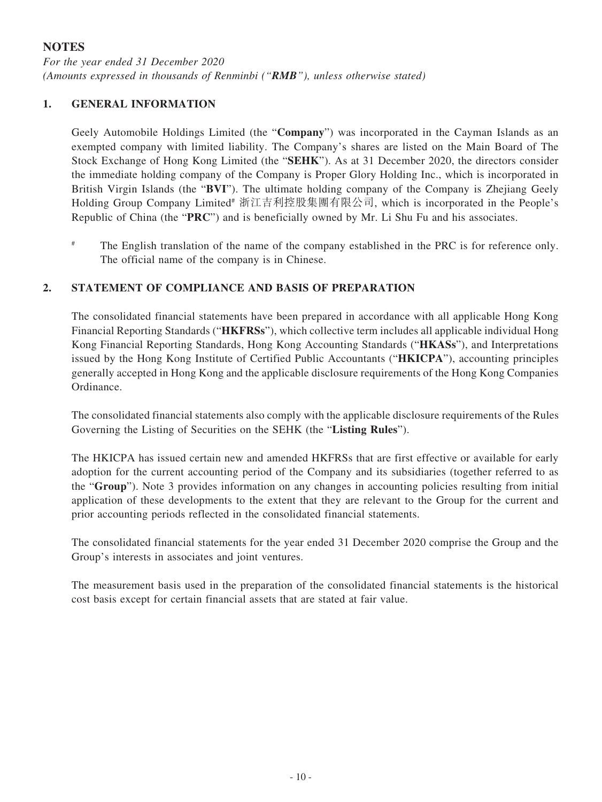## **NOTES**

*For the year ended 31 December 2020 (Amounts expressed in thousands of Renminbi ("RMB"), unless otherwise stated)*

### **1. GENERAL INFORMATION**

Geely Automobile Holdings Limited (the "**Company**") was incorporated in the Cayman Islands as an exempted company with limited liability. The Company's shares are listed on the Main Board of The Stock Exchange of Hong Kong Limited (the "**SEHK**"). As at 31 December 2020, the directors consider the immediate holding company of the Company is Proper Glory Holding Inc., which is incorporated in British Virgin Islands (the "**BVI**"). The ultimate holding company of the Company is Zhejiang Geely Holding Group Company Limited<sup>#</sup> 浙江吉利控股集團有限公司, which is incorporated in the People's Republic of China (the "**PRC**") and is beneficially owned by Mr. Li Shu Fu and his associates.

# The English translation of the name of the company established in the PRC is for reference only. The official name of the company is in Chinese.

### **2. STATEMENT OF COMPLIANCE AND BASIS OF PREPARATION**

The consolidated financial statements have been prepared in accordance with all applicable Hong Kong Financial Reporting Standards ("**HKFRSs**"), which collective term includes all applicable individual Hong Kong Financial Reporting Standards, Hong Kong Accounting Standards ("**HKASs**"), and Interpretations issued by the Hong Kong Institute of Certified Public Accountants ("**HKICPA**"), accounting principles generally accepted in Hong Kong and the applicable disclosure requirements of the Hong Kong Companies Ordinance.

The consolidated financial statements also comply with the applicable disclosure requirements of the Rules Governing the Listing of Securities on the SEHK (the "**Listing Rules**").

The HKICPA has issued certain new and amended HKFRSs that are first effective or available for early adoption for the current accounting period of the Company and its subsidiaries (together referred to as the "**Group**"). Note 3 provides information on any changes in accounting policies resulting from initial application of these developments to the extent that they are relevant to the Group for the current and prior accounting periods reflected in the consolidated financial statements.

The consolidated financial statements for the year ended 31 December 2020 comprise the Group and the Group's interests in associates and joint ventures.

The measurement basis used in the preparation of the consolidated financial statements is the historical cost basis except for certain financial assets that are stated at fair value.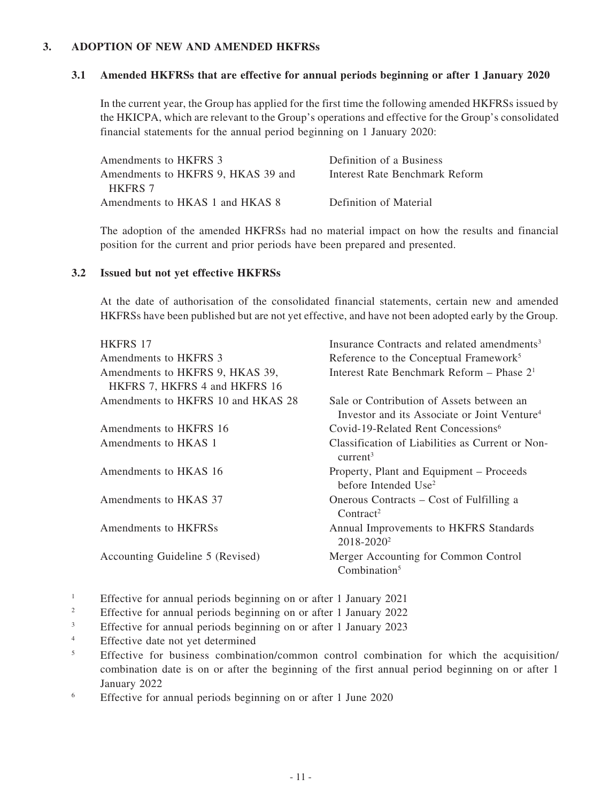### **3. ADOPTION OF NEW AND AMENDED HKFRSs**

#### **3.1 Amended HKFRSs that are effective for annual periods beginning or after 1 January 2020**

In the current year, the Group has applied for the first time the following amended HKFRSs issued by the HKICPA, which are relevant to the Group's operations and effective for the Group's consolidated financial statements for the annual period beginning on 1 January 2020:

| Amendments to HKFRS 3              | Definition of a Business       |
|------------------------------------|--------------------------------|
| Amendments to HKFRS 9, HKAS 39 and | Interest Rate Benchmark Reform |
| <b>HKFRS 7</b>                     |                                |
| Amendments to HKAS 1 and HKAS 8    | Definition of Material         |
|                                    |                                |

The adoption of the amended HKFRSs had no material impact on how the results and financial position for the current and prior periods have been prepared and presented.

#### **3.2 Issued but not yet effective HKFRSs**

At the date of authorisation of the consolidated financial statements, certain new and amended HKFRSs have been published but are not yet effective, and have not been adopted early by the Group.

| <b>HKFRS 17</b>                    | Insurance Contracts and related amendments <sup>3</sup>                      |
|------------------------------------|------------------------------------------------------------------------------|
| Amendments to HKFRS 3              | Reference to the Conceptual Framework <sup>5</sup>                           |
| Amendments to HKFRS 9, HKAS 39,    | Interest Rate Benchmark Reform - Phase 2 <sup>1</sup>                        |
| HKFRS 7, HKFRS 4 and HKFRS 16      |                                                                              |
| Amendments to HKFRS 10 and HKAS 28 | Sale or Contribution of Assets between an                                    |
|                                    | Investor and its Associate or Joint Venture <sup>4</sup>                     |
| Amendments to HKFRS 16             | Covid-19-Related Rent Concessions <sup>6</sup>                               |
| Amendments to HKAS 1               | Classification of Liabilities as Current or Non-<br>current <sup>3</sup>     |
| Amendments to HKAS 16              | Property, Plant and Equipment – Proceeds<br>before Intended Use <sup>2</sup> |
| Amendments to HKAS 37              | Onerous Contracts – Cost of Fulfilling a<br>Contract <sup>2</sup>            |
| Amendments to HKFRSs               | Annual Improvements to HKFRS Standards<br>2018-2020 <sup>2</sup>             |
| Accounting Guideline 5 (Revised)   | Merger Accounting for Common Control<br>Combination <sup>5</sup>             |

- <sup>1</sup> Effective for annual periods beginning on or after 1 January 2021
- <sup>2</sup> Effective for annual periods beginning on or after 1 January 2022
- <sup>3</sup> Effective for annual periods beginning on or after 1 January 2023
- <sup>4</sup> Effective date not yet determined
- <sup>5</sup> Effective for business combination/common control combination for which the acquisition/ combination date is on or after the beginning of the first annual period beginning on or after 1 January 2022
- <sup>6</sup> Effective for annual periods beginning on or after 1 June 2020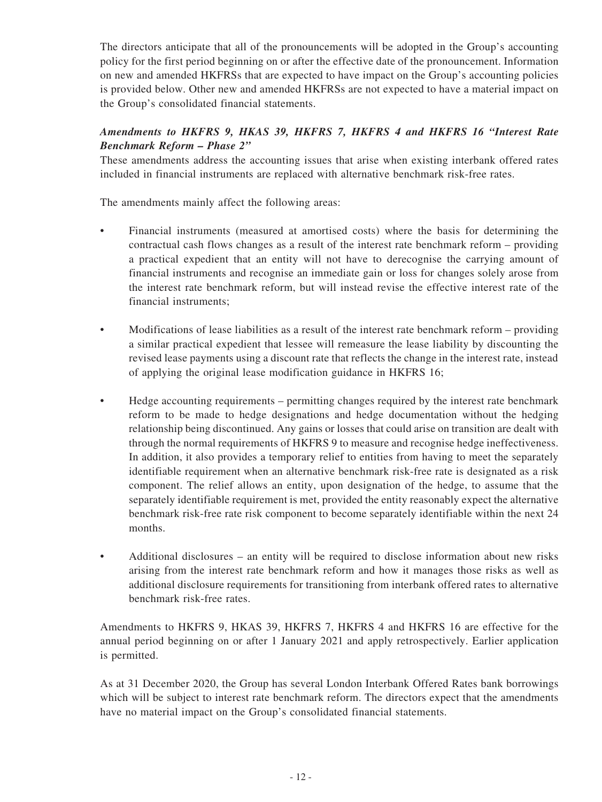The directors anticipate that all of the pronouncements will be adopted in the Group's accounting policy for the first period beginning on or after the effective date of the pronouncement. Information on new and amended HKFRSs that are expected to have impact on the Group's accounting policies is provided below. Other new and amended HKFRSs are not expected to have a material impact on the Group's consolidated financial statements.

## *Amendments to HKFRS 9, HKAS 39, HKFRS 7, HKFRS 4 and HKFRS 16 "Interest Rate Benchmark Reform – Phase 2"*

These amendments address the accounting issues that arise when existing interbank offered rates included in financial instruments are replaced with alternative benchmark risk-free rates.

The amendments mainly affect the following areas:

- Financial instruments (measured at amortised costs) where the basis for determining the contractual cash flows changes as a result of the interest rate benchmark reform – providing a practical expedient that an entity will not have to derecognise the carrying amount of financial instruments and recognise an immediate gain or loss for changes solely arose from the interest rate benchmark reform, but will instead revise the effective interest rate of the financial instruments;
- Modifications of lease liabilities as a result of the interest rate benchmark reform providing a similar practical expedient that lessee will remeasure the lease liability by discounting the revised lease payments using a discount rate that reflects the change in the interest rate, instead of applying the original lease modification guidance in HKFRS 16;
- Hedge accounting requirements permitting changes required by the interest rate benchmark reform to be made to hedge designations and hedge documentation without the hedging relationship being discontinued. Any gains or losses that could arise on transition are dealt with through the normal requirements of HKFRS 9 to measure and recognise hedge ineffectiveness. In addition, it also provides a temporary relief to entities from having to meet the separately identifiable requirement when an alternative benchmark risk-free rate is designated as a risk component. The relief allows an entity, upon designation of the hedge, to assume that the separately identifiable requirement is met, provided the entity reasonably expect the alternative benchmark risk-free rate risk component to become separately identifiable within the next 24 months.
- Additional disclosures an entity will be required to disclose information about new risks arising from the interest rate benchmark reform and how it manages those risks as well as additional disclosure requirements for transitioning from interbank offered rates to alternative benchmark risk-free rates.

Amendments to HKFRS 9, HKAS 39, HKFRS 7, HKFRS 4 and HKFRS 16 are effective for the annual period beginning on or after 1 January 2021 and apply retrospectively. Earlier application is permitted.

As at 31 December 2020, the Group has several London Interbank Offered Rates bank borrowings which will be subject to interest rate benchmark reform. The directors expect that the amendments have no material impact on the Group's consolidated financial statements.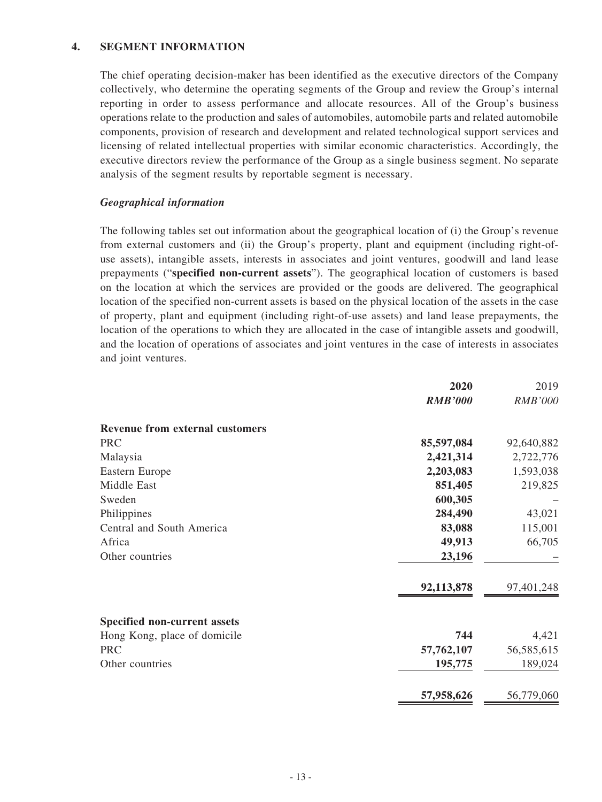### **4. SEGMENT INFORMATION**

The chief operating decision-maker has been identified as the executive directors of the Company collectively, who determine the operating segments of the Group and review the Group's internal reporting in order to assess performance and allocate resources. All of the Group's business operations relate to the production and sales of automobiles, automobile parts and related automobile components, provision of research and development and related technological support services and licensing of related intellectual properties with similar economic characteristics. Accordingly, the executive directors review the performance of the Group as a single business segment. No separate analysis of the segment results by reportable segment is necessary.

### *Geographical information*

The following tables set out information about the geographical location of (i) the Group's revenue from external customers and (ii) the Group's property, plant and equipment (including right-ofuse assets), intangible assets, interests in associates and joint ventures, goodwill and land lease prepayments ("**specified non-current assets**"). The geographical location of customers is based on the location at which the services are provided or the goods are delivered. The geographical location of the specified non-current assets is based on the physical location of the assets in the case of property, plant and equipment (including right-of-use assets) and land lease prepayments, the location of the operations to which they are allocated in the case of intangible assets and goodwill, and the location of operations of associates and joint ventures in the case of interests in associates and joint ventures.

|                                        | 2020           | 2019       |
|----------------------------------------|----------------|------------|
|                                        | <b>RMB'000</b> | RMB'000    |
| <b>Revenue from external customers</b> |                |            |
| <b>PRC</b>                             | 85,597,084     | 92,640,882 |
| Malaysia                               | 2,421,314      | 2,722,776  |
| Eastern Europe                         | 2,203,083      | 1,593,038  |
| Middle East                            | 851,405        | 219,825    |
| Sweden                                 | 600,305        |            |
| Philippines                            | 284,490        | 43,021     |
| Central and South America              | 83,088         | 115,001    |
| Africa                                 | 49,913         | 66,705     |
| Other countries                        | 23,196         |            |
|                                        | 92,113,878     | 97,401,248 |
| <b>Specified non-current assets</b>    |                |            |
| Hong Kong, place of domicile           | 744            | 4,421      |
| <b>PRC</b>                             | 57,762,107     | 56,585,615 |
| Other countries                        | 195,775        | 189,024    |
|                                        | 57,958,626     | 56,779,060 |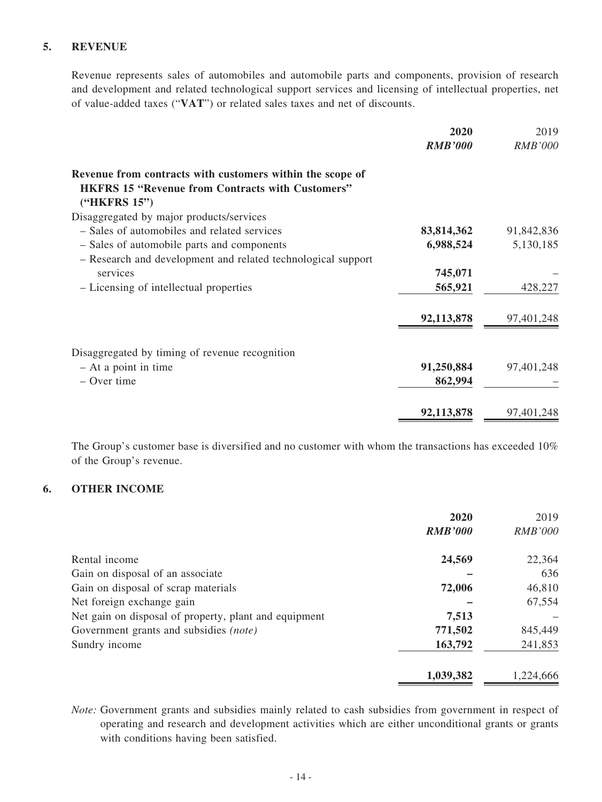## **5. REVENUE**

Revenue represents sales of automobiles and automobile parts and components, provision of research and development and related technological support services and licensing of intellectual properties, net of value-added taxes ("**VAT**") or related sales taxes and net of discounts.

|                                                              | 2020           | 2019           |
|--------------------------------------------------------------|----------------|----------------|
|                                                              | <b>RMB'000</b> | <b>RMB'000</b> |
| Revenue from contracts with customers within the scope of    |                |                |
| <b>HKFRS 15 "Revenue from Contracts with Customers"</b>      |                |                |
| ("HKFRS 15")                                                 |                |                |
| Disaggregated by major products/services                     |                |                |
| - Sales of automobiles and related services                  | 83,814,362     | 91,842,836     |
| - Sales of automobile parts and components                   | 6,988,524      | 5,130,185      |
| - Research and development and related technological support |                |                |
| services                                                     | 745,071        |                |
| - Licensing of intellectual properties                       | 565,921        | 428,227        |
|                                                              | 92,113,878     | 97,401,248     |
|                                                              |                |                |
| Disaggregated by timing of revenue recognition               |                |                |
| $-$ At a point in time                                       | 91,250,884     | 97,401,248     |
| $-$ Over time                                                | 862,994        |                |
|                                                              | 92,113,878     | 97,401,248     |

The Group's customer base is diversified and no customer with whom the transactions has exceeded 10% of the Group's revenue.

### **6. OTHER INCOME**

|                                                       | 2020           | 2019           |
|-------------------------------------------------------|----------------|----------------|
|                                                       | <b>RMB'000</b> | <i>RMB'000</i> |
| Rental income                                         | 24,569         | 22,364         |
| Gain on disposal of an associate                      |                | 636            |
| Gain on disposal of scrap materials                   | 72,006         | 46,810         |
| Net foreign exchange gain                             |                | 67,554         |
| Net gain on disposal of property, plant and equipment | 7,513          |                |
| Government grants and subsidies (note)                | 771,502        | 845,449        |
| Sundry income                                         | 163,792        | 241,853        |
|                                                       | 1,039,382      | 1,224,666      |

*Note:* Government grants and subsidies mainly related to cash subsidies from government in respect of operating and research and development activities which are either unconditional grants or grants with conditions having been satisfied.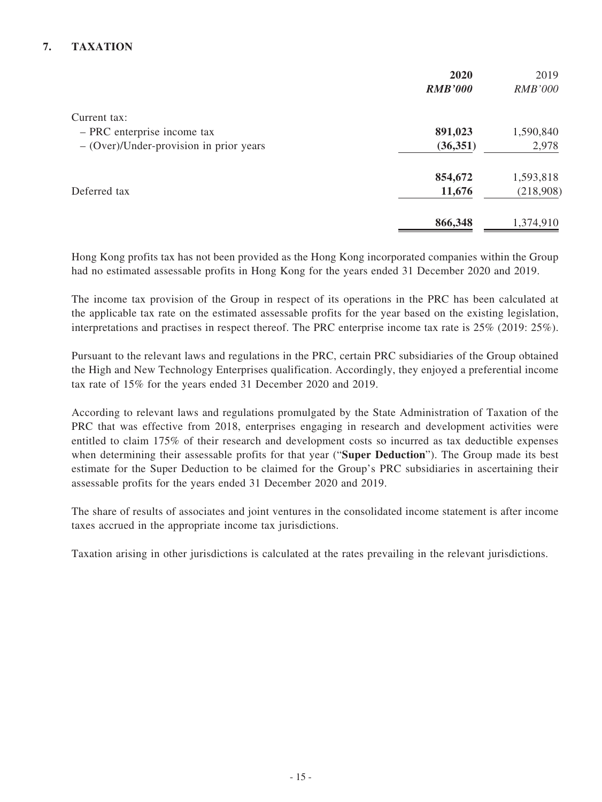# **7. TAXATION**

|                                           | 2020           | 2019           |
|-------------------------------------------|----------------|----------------|
|                                           | <b>RMB'000</b> | <i>RMB'000</i> |
| Current tax:                              |                |                |
| - PRC enterprise income tax               | 891,023        | 1,590,840      |
| $-$ (Over)/Under-provision in prior years | (36, 351)      | 2,978          |
|                                           | 854,672        | 1,593,818      |
| Deferred tax                              | 11,676         | (218,908)      |
|                                           | 866,348        | 1,374,910      |

Hong Kong profits tax has not been provided as the Hong Kong incorporated companies within the Group had no estimated assessable profits in Hong Kong for the years ended 31 December 2020 and 2019.

The income tax provision of the Group in respect of its operations in the PRC has been calculated at the applicable tax rate on the estimated assessable profits for the year based on the existing legislation, interpretations and practises in respect thereof. The PRC enterprise income tax rate is 25% (2019: 25%).

Pursuant to the relevant laws and regulations in the PRC, certain PRC subsidiaries of the Group obtained the High and New Technology Enterprises qualification. Accordingly, they enjoyed a preferential income tax rate of 15% for the years ended 31 December 2020 and 2019.

According to relevant laws and regulations promulgated by the State Administration of Taxation of the PRC that was effective from 2018, enterprises engaging in research and development activities were entitled to claim 175% of their research and development costs so incurred as tax deductible expenses when determining their assessable profits for that year ("**Super Deduction**"). The Group made its best estimate for the Super Deduction to be claimed for the Group's PRC subsidiaries in ascertaining their assessable profits for the years ended 31 December 2020 and 2019.

The share of results of associates and joint ventures in the consolidated income statement is after income taxes accrued in the appropriate income tax jurisdictions.

Taxation arising in other jurisdictions is calculated at the rates prevailing in the relevant jurisdictions.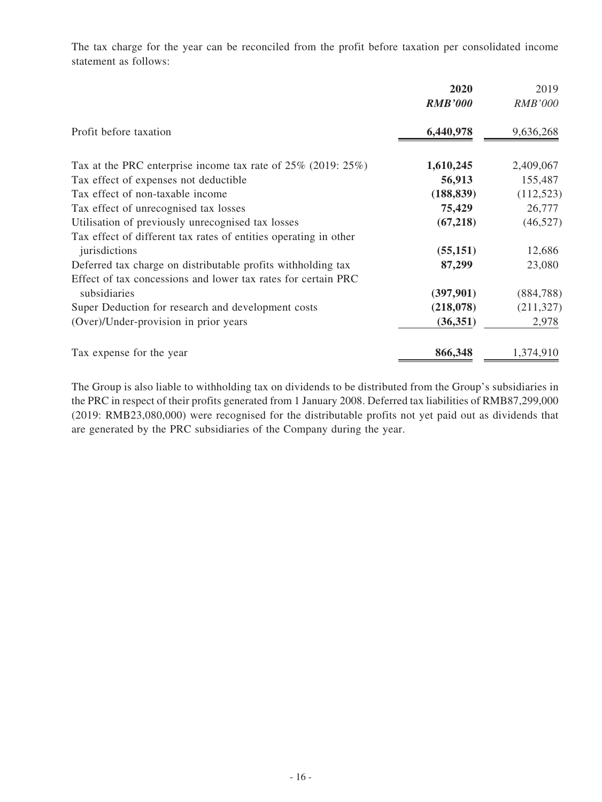The tax charge for the year can be reconciled from the profit before taxation per consolidated income statement as follows:

|                                                                     | 2020<br><b>RMB'000</b> | 2019<br><b>RMB'000</b> |
|---------------------------------------------------------------------|------------------------|------------------------|
| Profit before taxation                                              | 6,440,978              | 9,636,268              |
| Tax at the PRC enterprise income tax rate of $25\%$ (2019: $25\%$ ) | 1,610,245              | 2,409,067              |
| Tax effect of expenses not deductible                               | 56,913                 | 155,487                |
| Tax effect of non-taxable income                                    | (188, 839)             | (112, 523)             |
| Tax effect of unrecognised tax losses                               | 75,429                 | 26,777                 |
| Utilisation of previously unrecognised tax losses                   | (67, 218)              | (46,527)               |
| Tax effect of different tax rates of entities operating in other    |                        |                        |
| jurisdictions                                                       | (55, 151)              | 12,686                 |
| Deferred tax charge on distributable profits with holding tax       | 87,299                 | 23,080                 |
| Effect of tax concessions and lower tax rates for certain PRC       |                        |                        |
| subsidiaries                                                        | (397, 901)             | (884, 788)             |
| Super Deduction for research and development costs                  | (218,078)              | (211, 327)             |
| (Over)/Under-provision in prior years                               | (36, 351)              | 2,978                  |
| Tax expense for the year                                            | 866,348                | 1,374,910              |

The Group is also liable to withholding tax on dividends to be distributed from the Group's subsidiaries in the PRC in respect of their profits generated from 1 January 2008. Deferred tax liabilities of RMB87,299,000 (2019: RMB23,080,000) were recognised for the distributable profits not yet paid out as dividends that are generated by the PRC subsidiaries of the Company during the year.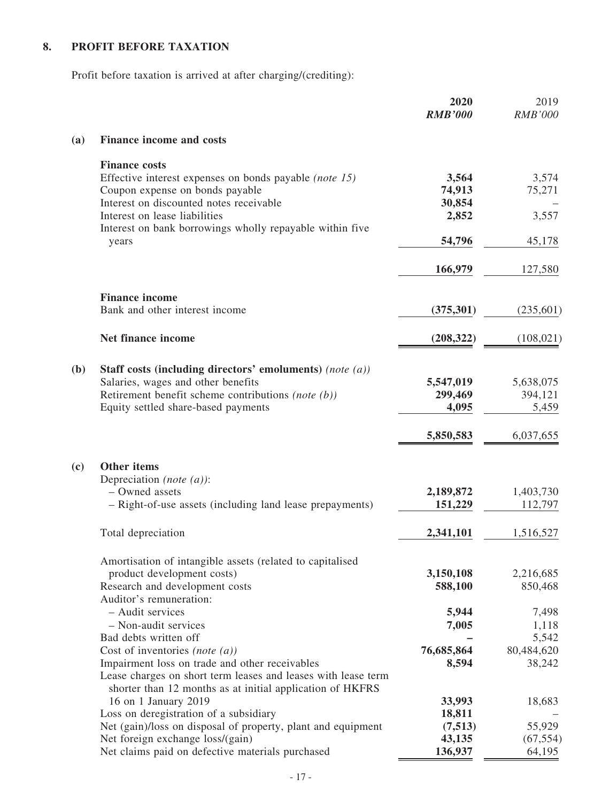# **8. PROFIT BEFORE TAXATION**

Profit before taxation is arrived at after charging/(crediting):

|              |                                                                                                | 2020<br><b>RMB'000</b> | 2019<br><b>RMB'000</b> |
|--------------|------------------------------------------------------------------------------------------------|------------------------|------------------------|
| (a)          | <b>Finance income and costs</b>                                                                |                        |                        |
|              | <b>Finance costs</b>                                                                           |                        |                        |
|              | Effective interest expenses on bonds payable (note 15)<br>Coupon expense on bonds payable      | 3,564<br>74,913        | 3,574<br>75,271        |
|              | Interest on discounted notes receivable                                                        | 30,854                 |                        |
|              | Interest on lease liabilities                                                                  | 2,852                  | 3,557                  |
|              | Interest on bank borrowings wholly repayable within five<br>years                              | 54,796                 | 45,178                 |
|              |                                                                                                |                        |                        |
|              |                                                                                                | 166,979                | 127,580                |
|              | <b>Finance income</b>                                                                          |                        |                        |
|              | Bank and other interest income                                                                 | (375, 301)             | (235,601)              |
|              | Net finance income                                                                             | (208, 322)             | (108, 021)             |
|              |                                                                                                |                        |                        |
| ( <b>b</b> ) | Staff costs (including directors' emoluments) (note (a))<br>Salaries, wages and other benefits | 5,547,019              | 5,638,075              |
|              | Retirement benefit scheme contributions (note $(b)$ )                                          | 299,469                | 394,121                |
|              | Equity settled share-based payments                                                            | 4,095                  | 5,459                  |
|              |                                                                                                | 5,850,583              | 6,037,655              |
| (c)          | <b>Other items</b>                                                                             |                        |                        |
|              | Depreciation (note $(a)$ ):                                                                    |                        |                        |
|              | - Owned assets                                                                                 | 2,189,872              | 1,403,730              |
|              | - Right-of-use assets (including land lease prepayments)                                       | 151,229                | 112,797                |
|              | Total depreciation                                                                             | 2,341,101              | 1,516,527              |
|              | Amortisation of intangible assets (related to capitalised                                      |                        |                        |
|              | product development costs)                                                                     | 3,150,108              | 2,216,685              |
|              | Research and development costs                                                                 | 588,100                | 850,468                |
|              | Auditor's remuneration:                                                                        |                        |                        |
|              | - Audit services                                                                               | 5,944                  | 7,498                  |
|              | - Non-audit services                                                                           | 7,005                  | 1,118                  |
|              | Bad debts written off<br>Cost of inventories (note $(a)$ )                                     | 76,685,864             | 5,542<br>80,484,620    |
|              | Impairment loss on trade and other receivables                                                 | 8,594                  | 38,242                 |
|              | Lease charges on short term leases and leases with lease term                                  |                        |                        |
|              | shorter than 12 months as at initial application of HKFRS                                      |                        |                        |
|              | 16 on 1 January 2019                                                                           | 33,993                 | 18,683                 |
|              | Loss on deregistration of a subsidiary                                                         | 18,811                 |                        |
|              | Net (gain)/loss on disposal of property, plant and equipment                                   | (7,513)                | 55,929                 |
|              | Net foreign exchange loss/(gain)                                                               | 43,135                 | (67, 554)              |
|              | Net claims paid on defective materials purchased                                               | 136,937                | 64,195                 |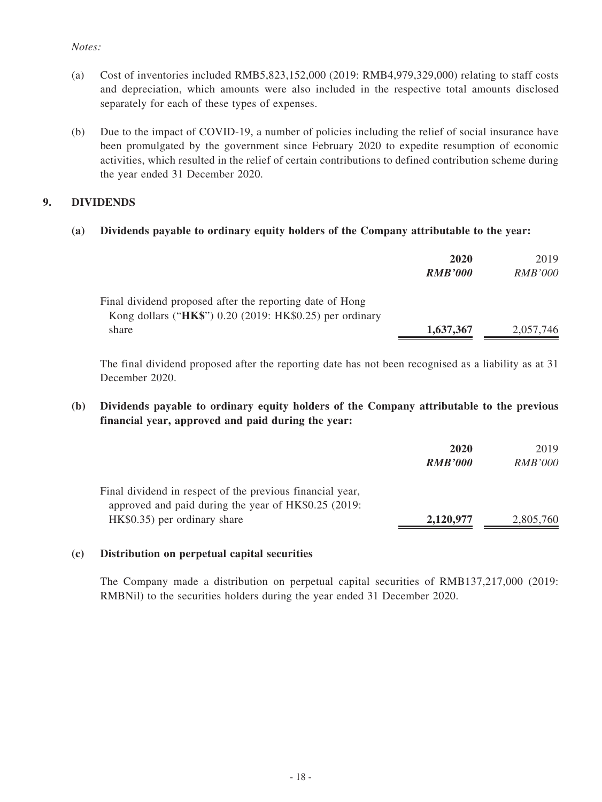### *Notes:*

- (a) Cost of inventories included RMB5,823,152,000 (2019: RMB4,979,329,000) relating to staff costs and depreciation, which amounts were also included in the respective total amounts disclosed separately for each of these types of expenses.
- (b) Due to the impact of COVID-19, a number of policies including the relief of social insurance have been promulgated by the government since February 2020 to expedite resumption of economic activities, which resulted in the relief of certain contributions to defined contribution scheme during the year ended 31 December 2020.

### **9. DIVIDENDS**

### **(a) Dividends payable to ordinary equity holders of the Company attributable to the year:**

|                                                          | 2020           | 2019           |
|----------------------------------------------------------|----------------|----------------|
|                                                          | <b>RMB'000</b> | <i>RMB'000</i> |
| Final dividend proposed after the reporting date of Hong |                |                |
| Kong dollars ("HK\$") 0.20 (2019: HK\$0.25) per ordinary |                |                |
| share                                                    | 1,637,367      | 2,057,746      |

The final dividend proposed after the reporting date has not been recognised as a liability as at 31 December 2020.

### **(b) Dividends payable to ordinary equity holders of the Company attributable to the previous financial year, approved and paid during the year:**

|                                                                                                                   | 2020<br><b>RMB'000</b> | 2019<br><i>RMB'000</i> |
|-------------------------------------------------------------------------------------------------------------------|------------------------|------------------------|
| Final dividend in respect of the previous financial year,<br>approved and paid during the year of HK\$0.25 (2019: |                        |                        |
| HK\$0.35) per ordinary share                                                                                      | 2,120,977              | 2,805,760              |

### **(c) Distribution on perpetual capital securities**

The Company made a distribution on perpetual capital securities of RMB137,217,000 (2019: RMBNil) to the securities holders during the year ended 31 December 2020.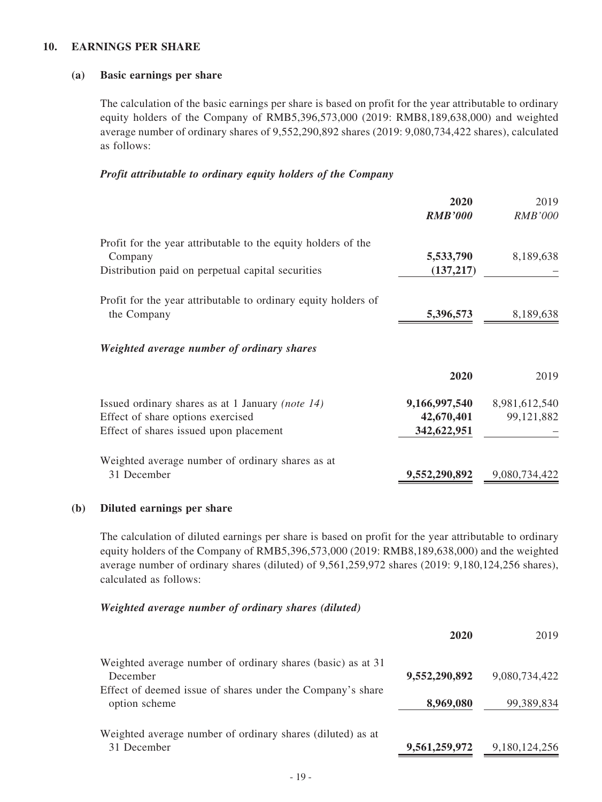### **10. EARNINGS PER SHARE**

#### **(a) Basic earnings per share**

The calculation of the basic earnings per share is based on profit for the year attributable to ordinary equity holders of the Company of RMB5,396,573,000 (2019: RMB8,189,638,000) and weighted average number of ordinary shares of 9,552,290,892 shares (2019: 9,080,734,422 shares), calculated as follows:

#### *Profit attributable to ordinary equity holders of the Company*

|                                                                                                                                 | 2020<br><b>RMB'000</b>                     | 2019<br><b>RMB'000</b>      |
|---------------------------------------------------------------------------------------------------------------------------------|--------------------------------------------|-----------------------------|
| Profit for the year attributable to the equity holders of the<br>Company<br>Distribution paid on perpetual capital securities   | 5,533,790<br>(137, 217)                    | 8,189,638                   |
| Profit for the year attributable to ordinary equity holders of<br>the Company                                                   | 5,396,573                                  | 8,189,638                   |
| Weighted average number of ordinary shares                                                                                      |                                            |                             |
|                                                                                                                                 | 2020                                       | 2019                        |
| Issued ordinary shares as at 1 January (note 14)<br>Effect of share options exercised<br>Effect of shares issued upon placement | 9,166,997,540<br>42,670,401<br>342,622,951 | 8,981,612,540<br>99,121,882 |
| Weighted average number of ordinary shares as at<br>31 December                                                                 | 9,552,290,892                              | 9,080,734,422               |

### **(b) Diluted earnings per share**

The calculation of diluted earnings per share is based on profit for the year attributable to ordinary equity holders of the Company of RMB5,396,573,000 (2019: RMB8,189,638,000) and the weighted average number of ordinary shares (diluted) of 9,561,259,972 shares (2019: 9,180,124,256 shares), calculated as follows:

#### *Weighted average number of ordinary shares (diluted)*

|                                                                             | 2020          | 2019          |
|-----------------------------------------------------------------------------|---------------|---------------|
| Weighted average number of ordinary shares (basic) as at 31<br>December     | 9,552,290,892 | 9,080,734,422 |
| Effect of deemed issue of shares under the Company's share<br>option scheme | 8,969,080     | 99,389,834    |
| Weighted average number of ordinary shares (diluted) as at<br>31 December   | 9,561,259,972 | 9,180,124,256 |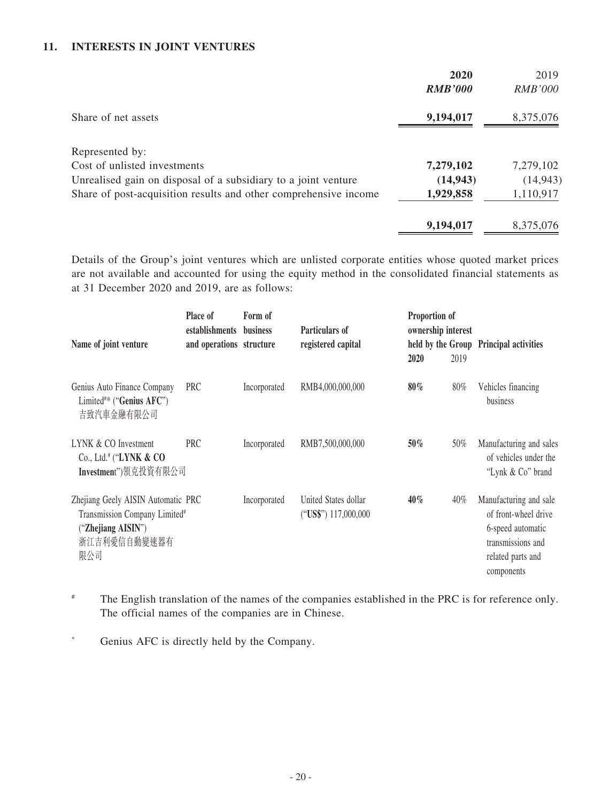## **11. INTERESTS IN JOINT VENTURES**

|                                                                  | 2020           | 2019           |
|------------------------------------------------------------------|----------------|----------------|
|                                                                  | <b>RMB'000</b> | <i>RMB'000</i> |
| Share of net assets                                              | 9,194,017      | 8,375,076      |
| Represented by:                                                  |                |                |
| Cost of unlisted investments                                     | 7,279,102      | 7,279,102      |
| Unrealised gain on disposal of a subsidiary to a joint venture   | (14, 943)      | (14, 943)      |
| Share of post-acquisition results and other comprehensive income | 1,929,858      | 1,110,917      |
|                                                                  | 9,194,017      | 8,375,076      |

Details of the Group's joint ventures which are unlisted corporate entities whose quoted market prices are not available and accounted for using the equity method in the consolidated financial statements as at 31 December 2020 and 2019, are as follows:

| Name of joint venture                                                                                                        | Place of<br>establishments business<br>and operations structure | Form of      | Particulars of<br>registered capital         | Proportion of<br>ownership interest<br>2020 | 2019 | held by the Group Principal activities                                                                                      |
|------------------------------------------------------------------------------------------------------------------------------|-----------------------------------------------------------------|--------------|----------------------------------------------|---------------------------------------------|------|-----------------------------------------------------------------------------------------------------------------------------|
| Genius Auto Finance Company<br>Limited <sup>#*</sup> ("Genius AFC")<br>吉致汽車金融有限公司                                            | PRC                                                             | Incorporated | RMB4,000,000,000                             | $80\%$                                      | 80%  | Vehicles financing<br>business                                                                                              |
| LYNK & CO Investment<br>Co., Ltd. <sup>#</sup> ("LYNK $\&$ CO<br>Investment")領克投資有限公司                                        | <b>PRC</b>                                                      | Incorporated | RMB7,500,000,000                             | $50\%$                                      | 50%  | Manufacturing and sales<br>of vehicles under the<br>"Lynk & Co" brand                                                       |
| Zhejiang Geely AISIN Automatic PRC<br>Transmission Company Limited <sup>#</sup><br>("Zhejiang AISIN")<br>浙江吉利愛信自動變速器有<br>限公司 |                                                                 | Incorporated | United States dollar<br>("US\$") 117,000,000 | $40\%$                                      | 40%  | Manufacturing and sale<br>of front-wheel drive<br>6-speed automatic<br>transmissions and<br>related parts and<br>components |

- # The English translation of the names of the companies established in the PRC is for reference only. The official names of the companies are in Chinese.
- \* Genius AFC is directly held by the Company.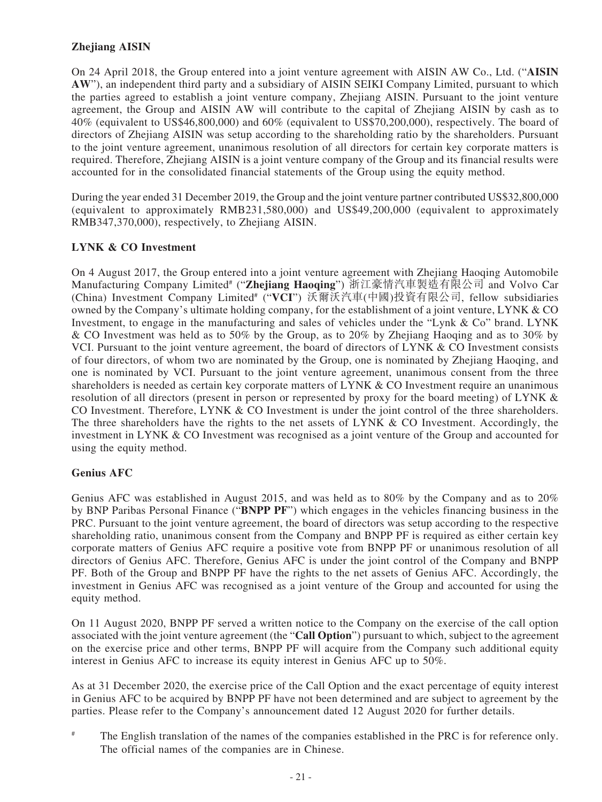## **Zhejiang AISIN**

On 24 April 2018, the Group entered into a joint venture agreement with AISIN AW Co., Ltd. ("**AISIN AW**"), an independent third party and a subsidiary of AISIN SEIKI Company Limited, pursuant to which the parties agreed to establish a joint venture company, Zhejiang AISIN. Pursuant to the joint venture agreement, the Group and AISIN AW will contribute to the capital of Zhejiang AISIN by cash as to 40% (equivalent to US\$46,800,000) and 60% (equivalent to US\$70,200,000), respectively. The board of directors of Zhejiang AISIN was setup according to the shareholding ratio by the shareholders. Pursuant to the joint venture agreement, unanimous resolution of all directors for certain key corporate matters is required. Therefore, Zhejiang AISIN is a joint venture company of the Group and its financial results were accounted for in the consolidated financial statements of the Group using the equity method.

During the year ended 31 December 2019, the Group and the joint venture partner contributed US\$32,800,000 (equivalent to approximately RMB231,580,000) and US\$49,200,000 (equivalent to approximately RMB347,370,000), respectively, to Zhejiang AISIN.

### **LYNK & CO Investment**

On 4 August 2017, the Group entered into a joint venture agreement with Zhejiang Haoqing Automobile Manufacturing Company Limited# ("**Zhejiang Haoqing**") 浙江豪情汽車製造有限公司 and Volvo Car (China) Investment Company Limited# ("**VCI**") 沃爾沃汽車(中國)投資有限公司, fellow subsidiaries owned by the Company's ultimate holding company, for the establishment of a joint venture, LYNK & CO Investment, to engage in the manufacturing and sales of vehicles under the "Lynk & Co" brand. LYNK & CO Investment was held as to 50% by the Group, as to 20% by Zhejiang Haoqing and as to 30% by VCI. Pursuant to the joint venture agreement, the board of directors of LYNK & CO Investment consists of four directors, of whom two are nominated by the Group, one is nominated by Zhejiang Haoqing, and one is nominated by VCI. Pursuant to the joint venture agreement, unanimous consent from the three shareholders is needed as certain key corporate matters of LYNK & CO Investment require an unanimous resolution of all directors (present in person or represented by proxy for the board meeting) of LYNK & CO Investment. Therefore, LYNK & CO Investment is under the joint control of the three shareholders. The three shareholders have the rights to the net assets of LYNK  $\&$  CO Investment. Accordingly, the investment in LYNK & CO Investment was recognised as a joint venture of the Group and accounted for using the equity method.

### **Genius AFC**

Genius AFC was established in August 2015, and was held as to 80% by the Company and as to 20% by BNP Paribas Personal Finance ("**BNPP PF**") which engages in the vehicles financing business in the PRC. Pursuant to the joint venture agreement, the board of directors was setup according to the respective shareholding ratio, unanimous consent from the Company and BNPP PF is required as either certain key corporate matters of Genius AFC require a positive vote from BNPP PF or unanimous resolution of all directors of Genius AFC. Therefore, Genius AFC is under the joint control of the Company and BNPP PF. Both of the Group and BNPP PF have the rights to the net assets of Genius AFC. Accordingly, the investment in Genius AFC was recognised as a joint venture of the Group and accounted for using the equity method.

On 11 August 2020, BNPP PF served a written notice to the Company on the exercise of the call option associated with the joint venture agreement (the "**Call Option**") pursuant to which, subject to the agreement on the exercise price and other terms, BNPP PF will acquire from the Company such additional equity interest in Genius AFC to increase its equity interest in Genius AFC up to 50%.

As at 31 December 2020, the exercise price of the Call Option and the exact percentage of equity interest in Genius AFC to be acquired by BNPP PF have not been determined and are subject to agreement by the parties. Please refer to the Company's announcement dated 12 August 2020 for further details.

The English translation of the names of the companies established in the PRC is for reference only. The official names of the companies are in Chinese.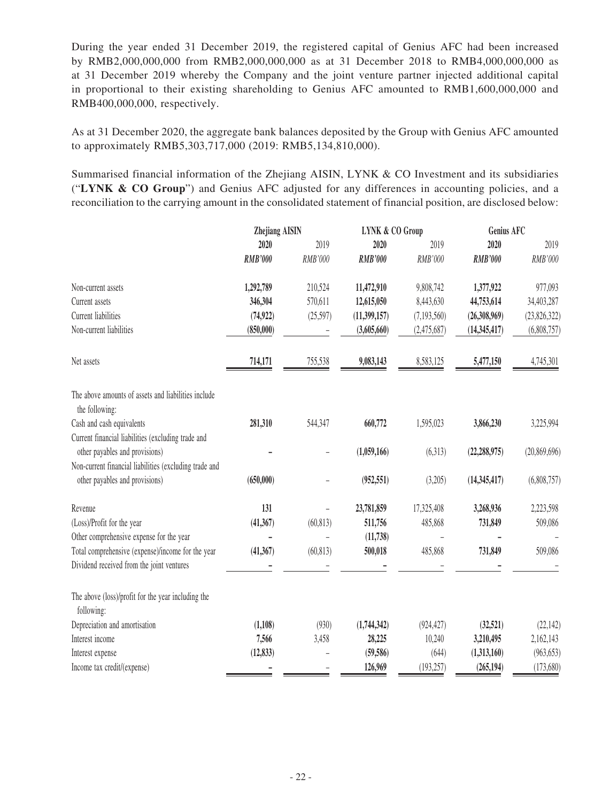During the year ended 31 December 2019, the registered capital of Genius AFC had been increased by RMB2,000,000,000 from RMB2,000,000,000 as at 31 December 2018 to RMB4,000,000,000 as at 31 December 2019 whereby the Company and the joint venture partner injected additional capital in proportional to their existing shareholding to Genius AFC amounted to RMB1,600,000,000 and RMB400,000,000, respectively.

As at 31 December 2020, the aggregate bank balances deposited by the Group with Genius AFC amounted to approximately RMB5,303,717,000 (2019: RMB5,134,810,000).

Summarised financial information of the Zhejiang AISIN, LYNK & CO Investment and its subsidiaries ("**LYNK & CO Group**") and Genius AFC adjusted for any differences in accounting policies, and a reconciliation to the carrying amount in the consolidated statement of financial position, are disclosed below:

|                                                                                          | <b>Zhejiang AISIN</b> |           | <b>LYNK &amp; CO Group</b> |             | Genius AFC     |                |
|------------------------------------------------------------------------------------------|-----------------------|-----------|----------------------------|-------------|----------------|----------------|
|                                                                                          | 2020                  | 2019      | 2020                       | 2019        | 2020           | 2019           |
|                                                                                          | <b>RMB'000</b>        | RMB'000   | <b>RMB'000</b>             | RMB'000     | <b>RMB'000</b> | RMB'000        |
| Non-current assets                                                                       | 1,292,789             | 210,524   | 11,472,910                 | 9,808,742   | 1,377,922      | 977,093        |
| Current assets                                                                           | 346,304               | 570,611   | 12,615,050                 | 8,443,630   | 44,753,614     | 34,403,287     |
| <b>Current liabilities</b>                                                               | (74, 922)             | (25,597)  | (11,399,157)               | (7,193,560) | (26,308,969)   | (23,826,322)   |
| Non-current liabilities                                                                  | (850,000)             |           | (3,605,660)                | (2,475,687) | (14, 345, 417) | (6,808,757)    |
| Net assets                                                                               | 714,171               | 755,538   | 9,083,143                  | 8,583,125   | 5,477,150      | 4,745,301      |
| The above amounts of assets and liabilities include<br>the following:                    |                       |           |                            |             |                |                |
| Cash and cash equivalents                                                                | 281,310               | 544,347   | 660,772                    | 1,595,023   | 3,866,230      | 3,225,994      |
| Current financial liabilities (excluding trade and                                       |                       |           |                            |             |                |                |
| other payables and provisions)                                                           |                       |           | (1,059,166)                | (6,313)     | (22, 288, 975) | (20, 869, 696) |
| Non-current financial liabilities (excluding trade and<br>other payables and provisions) | (650,000)             |           | (952, 551)                 | (3,205)     | (14, 345, 417) | (6,808,757)    |
| Revenue                                                                                  | 131                   |           | 23,781,859                 | 17,325,408  | 3,268,936      | 2,223,598      |
| (Loss)/Profit for the year                                                               | (41, 367)             | (60, 813) | 511,756                    | 485,868     | 731,849        | 509,086        |
| Other comprehensive expense for the year                                                 |                       |           | (11, 738)                  |             |                |                |
| Total comprehensive (expense)/income for the year                                        | (41, 367)             | (60, 813) | 500,018                    | 485,868     | 731,849        | 509,086        |
| Dividend received from the joint ventures                                                |                       |           |                            |             |                |                |
| The above (loss)/profit for the year including the<br>following:                         |                       |           |                            |             |                |                |
| Depreciation and amortisation                                                            | (1,108)               | (930)     | (1,744,342)                | (924, 427)  | (32, 521)      | (22, 142)      |
| Interest income                                                                          | 7,566                 | 3,458     | 28,225                     | 10,240      | 3,210,495      | 2,162,143      |
| Interest expense                                                                         | (12, 833)             |           | (59, 586)                  | (644)       | (1,313,160)    | (963, 653)     |
| Income tax credit/(expense)                                                              |                       |           | 126,969                    | (193, 257)  | (265, 194)     | (173, 680)     |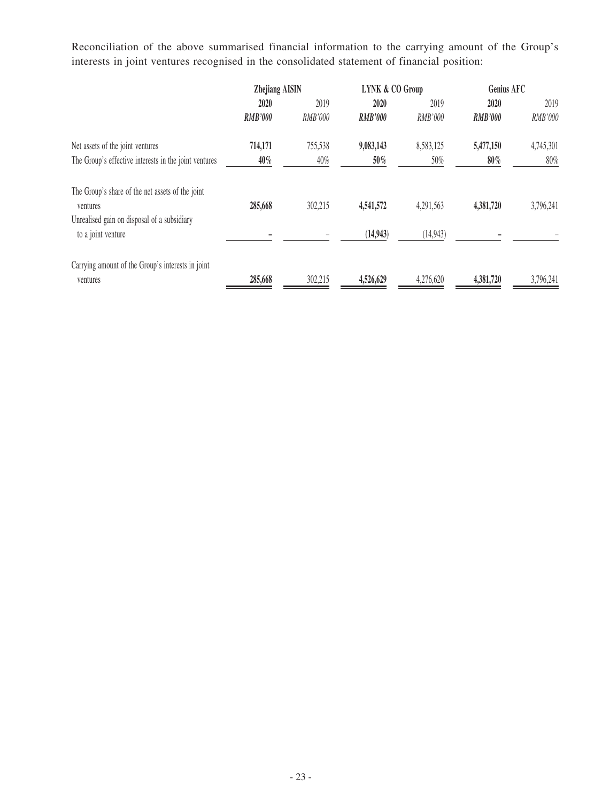Reconciliation of the above summarised financial information to the carrying amount of the Group's interests in joint ventures recognised in the consolidated statement of financial position:

|                                                       | <b>Zhejiang AISIN</b> |         | <b>LYNK &amp; CO Group</b> |           | <b>Genius AFC</b> |           |
|-------------------------------------------------------|-----------------------|---------|----------------------------|-----------|-------------------|-----------|
|                                                       | 2020                  | 2019    | 2020                       | 2019      | 2020              | 2019      |
|                                                       | <b>RMB'000</b>        | RMB'000 | <b>RMB'000</b>             | RMB'000   | <b>RMB'000</b>    | RMB'000   |
| Net assets of the joint ventures                      | 714,171               | 755,538 | 9,083,143                  | 8,583,125 | 5,477,150         | 4,745,301 |
| The Group's effective interests in the joint ventures | $40\%$                | 40%     | 50%                        | 50%       | $80\%$            | 80%       |
| The Group's share of the net assets of the joint      |                       |         |                            |           |                   |           |
| ventures                                              | 285,668               | 302,215 | 4,541,572                  | 4,291,563 | 4,381,720         | 3,796,241 |
| Unrealised gain on disposal of a subsidiary           |                       |         |                            |           |                   |           |
| to a joint venture                                    |                       |         | (14, 943)                  | (14, 943) |                   |           |
| Carrying amount of the Group's interests in joint     |                       |         |                            |           |                   |           |
| ventures                                              | 285,668               | 302,215 | 4,526,629                  | 4,276,620 | 4,381,720         | 3,796,241 |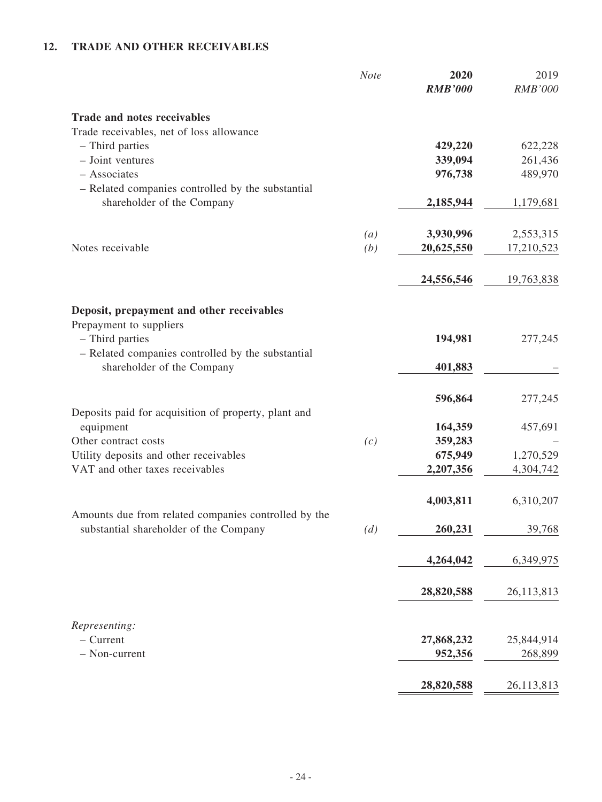# **12. TRADE AND OTHER RECEIVABLES**

|                                                      | <b>Note</b> | 2020<br><b>RMB'000</b> | 2019<br><b>RMB'000</b> |
|------------------------------------------------------|-------------|------------------------|------------------------|
| <b>Trade and notes receivables</b>                   |             |                        |                        |
| Trade receivables, net of loss allowance             |             |                        |                        |
| - Third parties                                      |             | 429,220                | 622,228                |
| - Joint ventures                                     |             | 339,094                | 261,436                |
| - Associates                                         |             | 976,738                | 489,970                |
| - Related companies controlled by the substantial    |             |                        |                        |
| shareholder of the Company                           |             | 2,185,944              | 1,179,681              |
|                                                      | (a)         | 3,930,996              | 2,553,315              |
| Notes receivable                                     | (b)         | 20,625,550             | 17,210,523             |
|                                                      |             |                        |                        |
|                                                      |             | 24,556,546             | 19,763,838             |
| Deposit, prepayment and other receivables            |             |                        |                        |
| Prepayment to suppliers                              |             |                        |                        |
| - Third parties                                      |             | 194,981                | 277,245                |
| - Related companies controlled by the substantial    |             |                        |                        |
| shareholder of the Company                           |             | 401,883                |                        |
|                                                      |             | 596,864                | 277,245                |
| Deposits paid for acquisition of property, plant and |             |                        |                        |
| equipment                                            |             | 164,359                | 457,691                |
| Other contract costs                                 | (c)         | 359,283                |                        |
| Utility deposits and other receivables               |             | 675,949                | 1,270,529              |
| VAT and other taxes receivables                      |             | 2,207,356              | 4,304,742              |
|                                                      |             | 4,003,811              | 6,310,207              |
| Amounts due from related companies controlled by the |             |                        |                        |
| substantial shareholder of the Company               | (d)         | 260,231                | 39,768                 |
|                                                      |             | 4,264,042              | 6,349,975              |
|                                                      |             | 28,820,588             | 26,113,813             |
|                                                      |             |                        |                        |
| Representing:                                        |             |                        |                        |
| $-$ Current<br>- Non-current                         |             | 27,868,232             | 25,844,914             |
|                                                      |             | 952,356                | 268,899                |
|                                                      |             | 28,820,588             | 26,113,813             |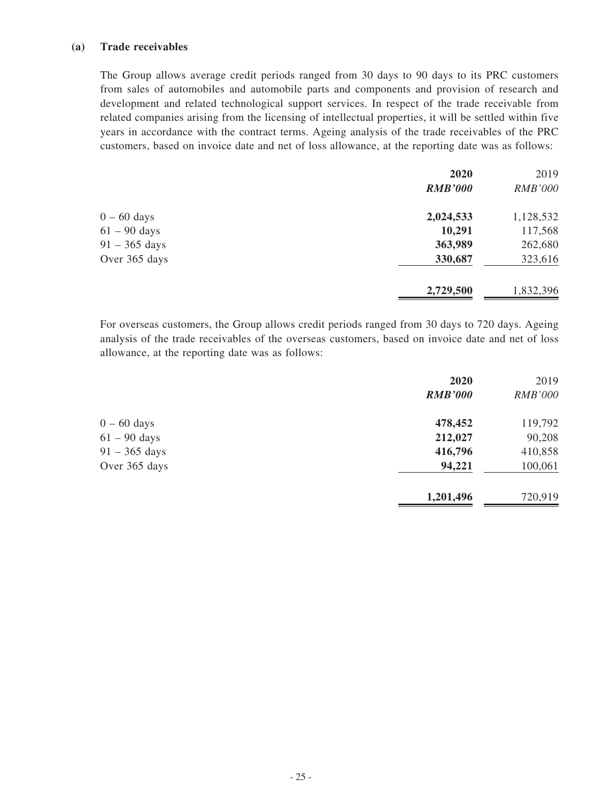### **(a) Trade receivables**

The Group allows average credit periods ranged from 30 days to 90 days to its PRC customers from sales of automobiles and automobile parts and components and provision of research and development and related technological support services. In respect of the trade receivable from related companies arising from the licensing of intellectual properties, it will be settled within five years in accordance with the contract terms. Ageing analysis of the trade receivables of the PRC customers, based on invoice date and net of loss allowance, at the reporting date was as follows:

|                 | 2020           | 2019           |
|-----------------|----------------|----------------|
|                 | <b>RMB'000</b> | <b>RMB'000</b> |
| $0 - 60$ days   | 2,024,533      | 1,128,532      |
| $61 - 90$ days  | 10,291         | 117,568        |
| $91 - 365$ days | 363,989        | 262,680        |
| Over 365 days   | 330,687        | 323,616        |
|                 | 2,729,500      | 1,832,396      |

For overseas customers, the Group allows credit periods ranged from 30 days to 720 days. Ageing analysis of the trade receivables of the overseas customers, based on invoice date and net of loss allowance, at the reporting date was as follows:

|                 | 2020           | 2019           |
|-----------------|----------------|----------------|
|                 | <b>RMB'000</b> | <b>RMB'000</b> |
| $0 - 60$ days   | 478,452        | 119,792        |
| $61 - 90$ days  | 212,027        | 90,208         |
| $91 - 365$ days | 416,796        | 410,858        |
| Over 365 days   | 94,221         | 100,061        |
|                 | 1,201,496      | 720,919        |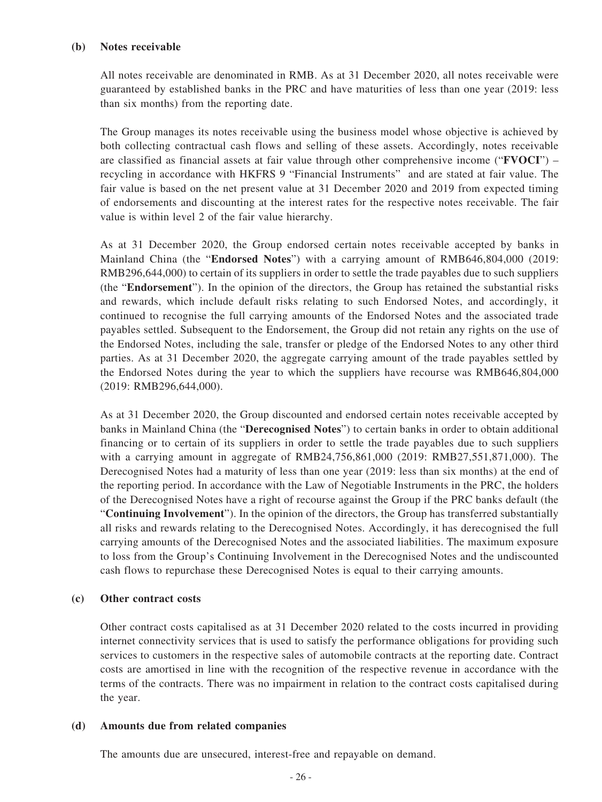#### **(b) Notes receivable**

All notes receivable are denominated in RMB. As at 31 December 2020, all notes receivable were guaranteed by established banks in the PRC and have maturities of less than one year (2019: less than six months) from the reporting date.

The Group manages its notes receivable using the business model whose objective is achieved by both collecting contractual cash flows and selling of these assets. Accordingly, notes receivable are classified as financial assets at fair value through other comprehensive income ("**FVOCI**") – recycling in accordance with HKFRS 9 "Financial Instruments" and are stated at fair value. The fair value is based on the net present value at 31 December 2020 and 2019 from expected timing of endorsements and discounting at the interest rates for the respective notes receivable. The fair value is within level 2 of the fair value hierarchy.

As at 31 December 2020, the Group endorsed certain notes receivable accepted by banks in Mainland China (the "**Endorsed Notes**") with a carrying amount of RMB646,804,000 (2019: RMB296,644,000) to certain of its suppliers in order to settle the trade payables due to such suppliers (the "**Endorsement**"). In the opinion of the directors, the Group has retained the substantial risks and rewards, which include default risks relating to such Endorsed Notes, and accordingly, it continued to recognise the full carrying amounts of the Endorsed Notes and the associated trade payables settled. Subsequent to the Endorsement, the Group did not retain any rights on the use of the Endorsed Notes, including the sale, transfer or pledge of the Endorsed Notes to any other third parties. As at 31 December 2020, the aggregate carrying amount of the trade payables settled by the Endorsed Notes during the year to which the suppliers have recourse was RMB646,804,000 (2019: RMB296,644,000).

As at 31 December 2020, the Group discounted and endorsed certain notes receivable accepted by banks in Mainland China (the "**Derecognised Notes**") to certain banks in order to obtain additional financing or to certain of its suppliers in order to settle the trade payables due to such suppliers with a carrying amount in aggregate of RMB24,756,861,000 (2019: RMB27,551,871,000). The Derecognised Notes had a maturity of less than one year (2019: less than six months) at the end of the reporting period. In accordance with the Law of Negotiable Instruments in the PRC, the holders of the Derecognised Notes have a right of recourse against the Group if the PRC banks default (the "**Continuing Involvement**"). In the opinion of the directors, the Group has transferred substantially all risks and rewards relating to the Derecognised Notes. Accordingly, it has derecognised the full carrying amounts of the Derecognised Notes and the associated liabilities. The maximum exposure to loss from the Group's Continuing Involvement in the Derecognised Notes and the undiscounted cash flows to repurchase these Derecognised Notes is equal to their carrying amounts.

### **(c) Other contract costs**

Other contract costs capitalised as at 31 December 2020 related to the costs incurred in providing internet connectivity services that is used to satisfy the performance obligations for providing such services to customers in the respective sales of automobile contracts at the reporting date. Contract costs are amortised in line with the recognition of the respective revenue in accordance with the terms of the contracts. There was no impairment in relation to the contract costs capitalised during the year.

### **(d) Amounts due from related companies**

The amounts due are unsecured, interest-free and repayable on demand.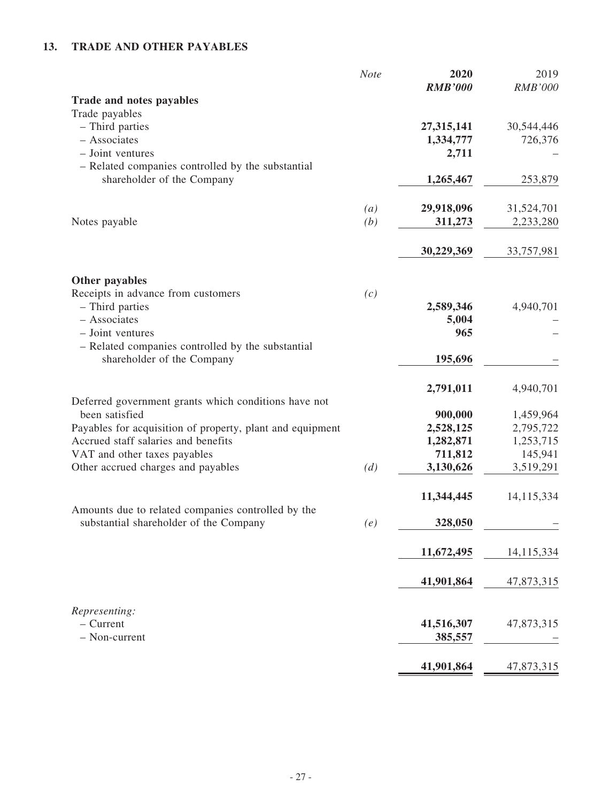# **13. TRADE AND OTHER PAYABLES**

|                                                                                              | Note | 2020<br><b>RMB'000</b> | 2019<br><b>RMB'000</b> |
|----------------------------------------------------------------------------------------------|------|------------------------|------------------------|
| Trade and notes payables                                                                     |      |                        |                        |
| Trade payables                                                                               |      |                        |                        |
| - Third parties                                                                              |      | 27,315,141             | 30,544,446             |
| - Associates                                                                                 |      | 1,334,777              | 726,376                |
| - Joint ventures                                                                             |      | 2,711                  |                        |
| - Related companies controlled by the substantial                                            |      |                        |                        |
| shareholder of the Company                                                                   |      | 1,265,467              | 253,879                |
|                                                                                              | (a)  | 29,918,096             | 31,524,701             |
| Notes payable                                                                                | (b)  | 311,273                | 2,233,280              |
|                                                                                              |      | 30,229,369             | 33,757,981             |
| Other payables                                                                               |      |                        |                        |
| Receipts in advance from customers                                                           | (c)  |                        |                        |
| - Third parties                                                                              |      | 2,589,346              | 4,940,701              |
| - Associates                                                                                 |      | 5,004                  |                        |
| - Joint ventures                                                                             |      | 965                    |                        |
| - Related companies controlled by the substantial                                            |      |                        |                        |
| shareholder of the Company                                                                   |      | 195,696                |                        |
|                                                                                              |      | 2,791,011              | 4,940,701              |
| Deferred government grants which conditions have not                                         |      |                        |                        |
| been satisfied                                                                               |      | 900,000                | 1,459,964              |
| Payables for acquisition of property, plant and equipment                                    |      | 2,528,125              | 2,795,722              |
| Accrued staff salaries and benefits                                                          |      | 1,282,871              | 1,253,715              |
| VAT and other taxes payables                                                                 |      | 711,812                | 145,941                |
| Other accrued charges and payables                                                           | (d)  | 3,130,626              | 3,519,291              |
|                                                                                              |      | 11,344,445             | 14,115,334             |
| Amounts due to related companies controlled by the<br>substantial shareholder of the Company | (e)  | 328,050                |                        |
|                                                                                              |      | 11,672,495             | 14,115,334             |
|                                                                                              |      |                        |                        |
|                                                                                              |      | 41,901,864             | 47,873,315             |
| Representing:                                                                                |      |                        |                        |
| $-$ Current                                                                                  |      | 41,516,307             | 47,873,315             |
| - Non-current                                                                                |      | 385,557                |                        |
|                                                                                              |      | 41,901,864             | 47,873,315             |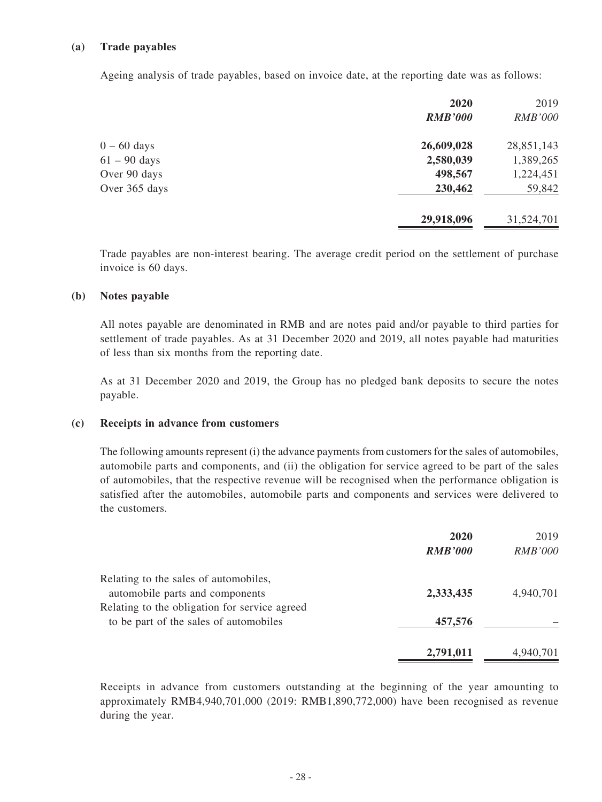### **(a) Trade payables**

Ageing analysis of trade payables, based on invoice date, at the reporting date was as follows:

| 2020           | 2019           |
|----------------|----------------|
| <b>RMB'000</b> | <b>RMB'000</b> |
| 26,609,028     | 28,851,143     |
| 2,580,039      | 1,389,265      |
| 498,567        | 1,224,451      |
| 230,462        | 59,842         |
| 29,918,096     | 31,524,701     |
|                |                |

Trade payables are non-interest bearing. The average credit period on the settlement of purchase invoice is 60 days.

#### **(b) Notes payable**

All notes payable are denominated in RMB and are notes paid and/or payable to third parties for settlement of trade payables. As at 31 December 2020 and 2019, all notes payable had maturities of less than six months from the reporting date.

As at 31 December 2020 and 2019, the Group has no pledged bank deposits to secure the notes payable.

#### **(c) Receipts in advance from customers**

The following amounts represent (i) the advance payments from customers for the sales of automobiles, automobile parts and components, and (ii) the obligation for service agreed to be part of the sales of automobiles, that the respective revenue will be recognised when the performance obligation is satisfied after the automobiles, automobile parts and components and services were delivered to the customers.

|                                               | 2020           | 2019           |
|-----------------------------------------------|----------------|----------------|
|                                               | <b>RMB'000</b> | <b>RMB'000</b> |
| Relating to the sales of automobiles,         |                |                |
| automobile parts and components               | 2,333,435      | 4,940,701      |
| Relating to the obligation for service agreed |                |                |
| to be part of the sales of automobiles        | 457,576        |                |
|                                               | 2,791,011      | 4,940,701      |

Receipts in advance from customers outstanding at the beginning of the year amounting to approximately RMB4,940,701,000 (2019: RMB1,890,772,000) have been recognised as revenue during the year.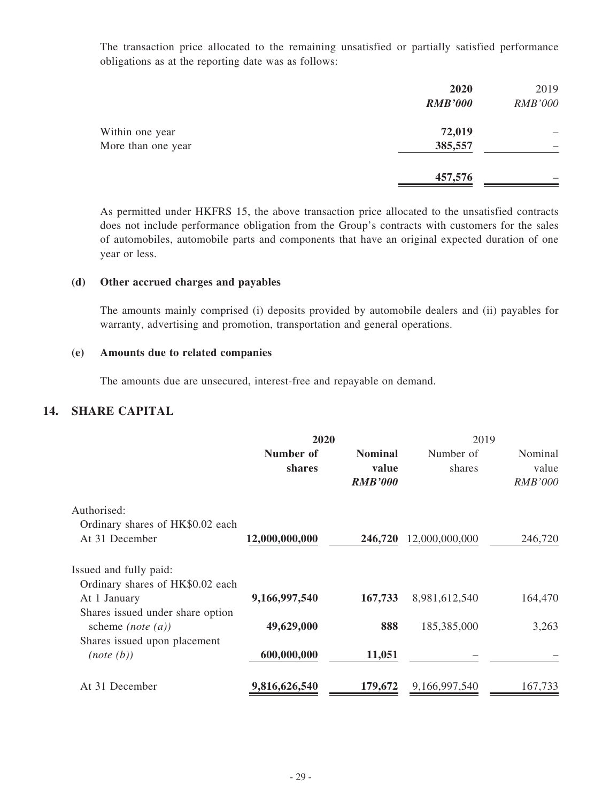The transaction price allocated to the remaining unsatisfied or partially satisfied performance obligations as at the reporting date was as follows:

|                    | 2020<br><b>RMB'000</b> | 2019<br><b>RMB'000</b> |
|--------------------|------------------------|------------------------|
| Within one year    | 72,019                 |                        |
| More than one year | 385,557                |                        |
|                    | 457,576                |                        |

As permitted under HKFRS 15, the above transaction price allocated to the unsatisfied contracts does not include performance obligation from the Group's contracts with customers for the sales of automobiles, automobile parts and components that have an original expected duration of one year or less.

#### **(d) Other accrued charges and payables**

The amounts mainly comprised (i) deposits provided by automobile dealers and (ii) payables for warranty, advertising and promotion, transportation and general operations.

#### **(e) Amounts due to related companies**

The amounts due are unsecured, interest-free and repayable on demand.

## **14. SHARE CAPITAL**

|                                  | 2020           |                | 2019           |                |
|----------------------------------|----------------|----------------|----------------|----------------|
|                                  | Number of      | <b>Nominal</b> | Number of      | Nominal        |
|                                  | shares         | value          | shares         | value          |
|                                  |                | <b>RMB'000</b> |                | <b>RMB'000</b> |
| Authorised:                      |                |                |                |                |
| Ordinary shares of HK\$0.02 each |                |                |                |                |
| At 31 December                   | 12,000,000,000 | 246,720        | 12,000,000,000 | 246,720        |
| Issued and fully paid:           |                |                |                |                |
| Ordinary shares of HK\$0.02 each |                |                |                |                |
| At 1 January                     | 9,166,997,540  | 167,733        | 8,981,612,540  | 164,470        |
| Shares issued under share option |                |                |                |                |
| scheme ( <i>note</i> $(a)$ )     | 49,629,000     | 888            | 185,385,000    | 3,263          |
| Shares issued upon placement     |                |                |                |                |
| (note(b))                        | 600,000,000    | 11,051         |                |                |
| At 31 December                   | 9,816,626,540  | 179,672        | 9,166,997,540  | 167,733        |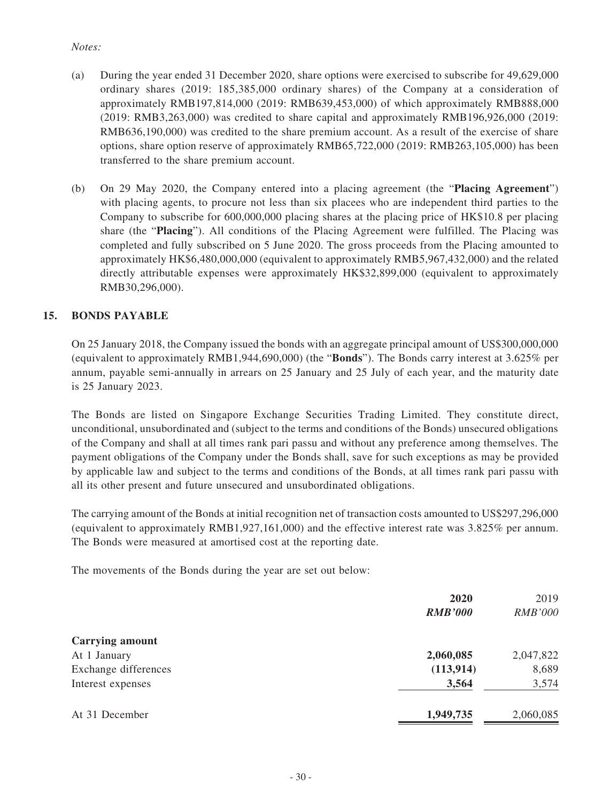### *Notes:*

- (a) During the year ended 31 December 2020, share options were exercised to subscribe for 49,629,000 ordinary shares (2019: 185,385,000 ordinary shares) of the Company at a consideration of approximately RMB197,814,000 (2019: RMB639,453,000) of which approximately RMB888,000 (2019: RMB3,263,000) was credited to share capital and approximately RMB196,926,000 (2019: RMB636,190,000) was credited to the share premium account. As a result of the exercise of share options, share option reserve of approximately RMB65,722,000 (2019: RMB263,105,000) has been transferred to the share premium account.
- (b) On 29 May 2020, the Company entered into a placing agreement (the "**Placing Agreement**") with placing agents, to procure not less than six placees who are independent third parties to the Company to subscribe for 600,000,000 placing shares at the placing price of HK\$10.8 per placing share (the "**Placing**"). All conditions of the Placing Agreement were fulfilled. The Placing was completed and fully subscribed on 5 June 2020. The gross proceeds from the Placing amounted to approximately HK\$6,480,000,000 (equivalent to approximately RMB5,967,432,000) and the related directly attributable expenses were approximately HK\$32,899,000 (equivalent to approximately RMB30,296,000).

### **15. BONDS PAYABLE**

On 25 January 2018, the Company issued the bonds with an aggregate principal amount of US\$300,000,000 (equivalent to approximately RMB1,944,690,000) (the "**Bonds**"). The Bonds carry interest at 3.625% per annum, payable semi-annually in arrears on 25 January and 25 July of each year, and the maturity date is 25 January 2023.

The Bonds are listed on Singapore Exchange Securities Trading Limited. They constitute direct, unconditional, unsubordinated and (subject to the terms and conditions of the Bonds) unsecured obligations of the Company and shall at all times rank pari passu and without any preference among themselves. The payment obligations of the Company under the Bonds shall, save for such exceptions as may be provided by applicable law and subject to the terms and conditions of the Bonds, at all times rank pari passu with all its other present and future unsecured and unsubordinated obligations.

The carrying amount of the Bonds at initial recognition net of transaction costs amounted to US\$297,296,000 (equivalent to approximately RMB1,927,161,000) and the effective interest rate was 3.825% per annum. The Bonds were measured at amortised cost at the reporting date.

The movements of the Bonds during the year are set out below:

|                        | 2020           | 2019           |
|------------------------|----------------|----------------|
|                        | <b>RMB'000</b> | <b>RMB'000</b> |
| <b>Carrying amount</b> |                |                |
| At 1 January           | 2,060,085      | 2,047,822      |
| Exchange differences   | (113, 914)     | 8,689          |
| Interest expenses      | 3,564          | 3,574          |
| At 31 December         | 1,949,735      | 2,060,085      |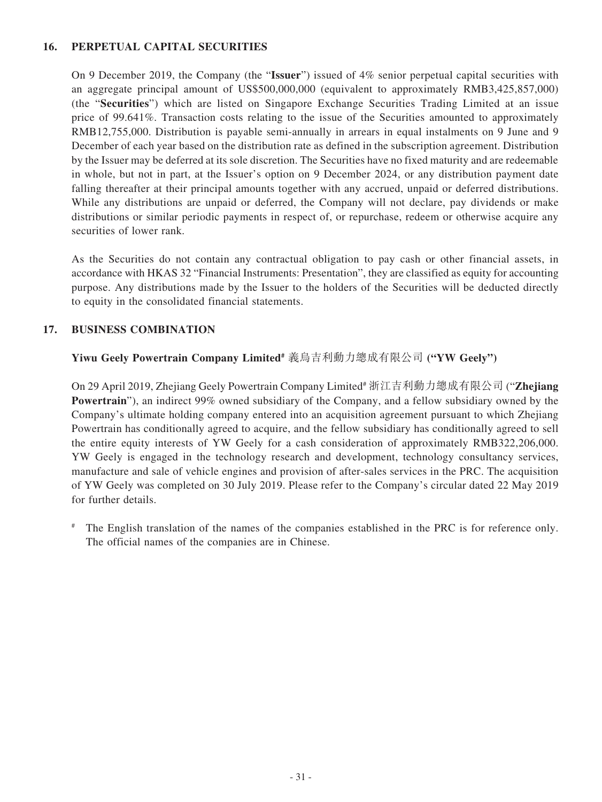### **16. PERPETUAL CAPITAL SECURITIES**

On 9 December 2019, the Company (the "**Issuer**") issued of 4% senior perpetual capital securities with an aggregate principal amount of US\$500,000,000 (equivalent to approximately RMB3,425,857,000) (the "**Securities**") which are listed on Singapore Exchange Securities Trading Limited at an issue price of 99.641%. Transaction costs relating to the issue of the Securities amounted to approximately RMB12,755,000. Distribution is payable semi-annually in arrears in equal instalments on 9 June and 9 December of each year based on the distribution rate as defined in the subscription agreement. Distribution by the Issuer may be deferred at its sole discretion. The Securities have no fixed maturity and are redeemable in whole, but not in part, at the Issuer's option on 9 December 2024, or any distribution payment date falling thereafter at their principal amounts together with any accrued, unpaid or deferred distributions. While any distributions are unpaid or deferred, the Company will not declare, pay dividends or make distributions or similar periodic payments in respect of, or repurchase, redeem or otherwise acquire any securities of lower rank.

As the Securities do not contain any contractual obligation to pay cash or other financial assets, in accordance with HKAS 32 "Financial Instruments: Presentation", they are classified as equity for accounting purpose. Any distributions made by the Issuer to the holders of the Securities will be deducted directly to equity in the consolidated financial statements.

### **17. BUSINESS COMBINATION**

## **Yiwu Geely Powertrain Company Limited#** 義烏吉利動力總成有限公司 **("YW Geely")**

On 29 April 2019, Zhejiang Geely Powertrain Company Limited# 浙江吉利動力總成有限公司 ("**Zhejiang Powertrain**"), an indirect 99% owned subsidiary of the Company, and a fellow subsidiary owned by the Company's ultimate holding company entered into an acquisition agreement pursuant to which Zhejiang Powertrain has conditionally agreed to acquire, and the fellow subsidiary has conditionally agreed to sell the entire equity interests of YW Geely for a cash consideration of approximately RMB322,206,000. YW Geely is engaged in the technology research and development, technology consultancy services, manufacture and sale of vehicle engines and provision of after-sales services in the PRC. The acquisition of YW Geely was completed on 30 July 2019. Please refer to the Company's circular dated 22 May 2019 for further details.

# The English translation of the names of the companies established in the PRC is for reference only. The official names of the companies are in Chinese.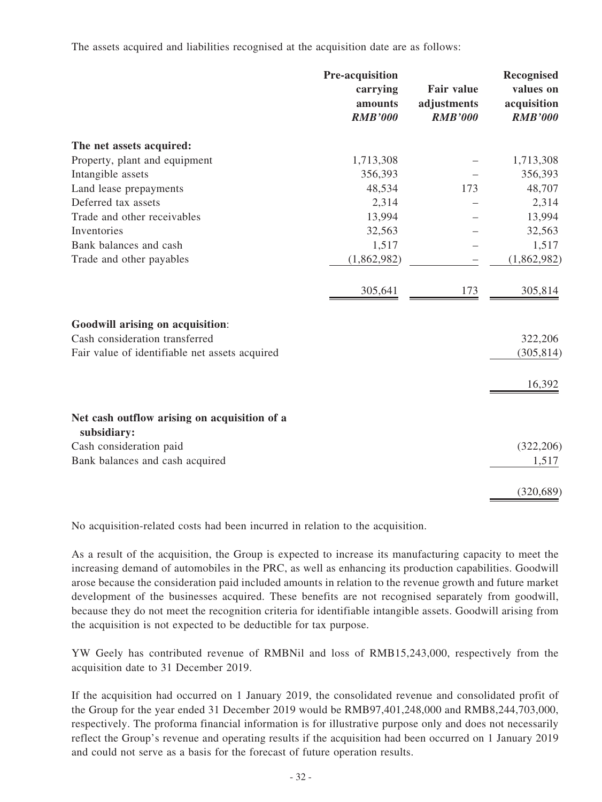The assets acquired and liabilities recognised at the acquisition date are as follows:

|                                                             | Pre-acquisition<br>carrying<br>amounts<br><b>RMB'000</b> | <b>Fair value</b><br>adjustments<br><b>RMB'000</b> | Recognised<br>values on<br>acquisition<br><b>RMB'000</b> |
|-------------------------------------------------------------|----------------------------------------------------------|----------------------------------------------------|----------------------------------------------------------|
| The net assets acquired:                                    |                                                          |                                                    |                                                          |
| Property, plant and equipment                               | 1,713,308                                                |                                                    | 1,713,308                                                |
| Intangible assets                                           | 356,393                                                  |                                                    | 356,393                                                  |
| Land lease prepayments                                      | 48,534                                                   | 173                                                | 48,707                                                   |
| Deferred tax assets                                         | 2,314                                                    |                                                    | 2,314                                                    |
| Trade and other receivables                                 | 13,994                                                   |                                                    | 13,994                                                   |
| Inventories                                                 | 32,563                                                   |                                                    | 32,563                                                   |
| Bank balances and cash                                      | 1,517                                                    |                                                    | 1,517                                                    |
| Trade and other payables                                    | (1,862,982)                                              |                                                    | (1,862,982)                                              |
|                                                             | 305,641                                                  | 173                                                | 305,814                                                  |
| Goodwill arising on acquisition:                            |                                                          |                                                    |                                                          |
| Cash consideration transferred                              |                                                          |                                                    | 322,206                                                  |
| Fair value of identifiable net assets acquired              |                                                          |                                                    | (305, 814)                                               |
|                                                             |                                                          |                                                    | 16,392                                                   |
| Net cash outflow arising on acquisition of a<br>subsidiary: |                                                          |                                                    |                                                          |
| Cash consideration paid                                     |                                                          |                                                    | (322, 206)                                               |
| Bank balances and cash acquired                             |                                                          |                                                    | 1,517                                                    |
|                                                             |                                                          |                                                    | (320, 689)                                               |

No acquisition-related costs had been incurred in relation to the acquisition.

As a result of the acquisition, the Group is expected to increase its manufacturing capacity to meet the increasing demand of automobiles in the PRC, as well as enhancing its production capabilities. Goodwill arose because the consideration paid included amounts in relation to the revenue growth and future market development of the businesses acquired. These benefits are not recognised separately from goodwill, because they do not meet the recognition criteria for identifiable intangible assets. Goodwill arising from the acquisition is not expected to be deductible for tax purpose.

YW Geely has contributed revenue of RMBNil and loss of RMB15,243,000, respectively from the acquisition date to 31 December 2019.

If the acquisition had occurred on 1 January 2019, the consolidated revenue and consolidated profit of the Group for the year ended 31 December 2019 would be RMB97,401,248,000 and RMB8,244,703,000, respectively. The proforma financial information is for illustrative purpose only and does not necessarily reflect the Group's revenue and operating results if the acquisition had been occurred on 1 January 2019 and could not serve as a basis for the forecast of future operation results.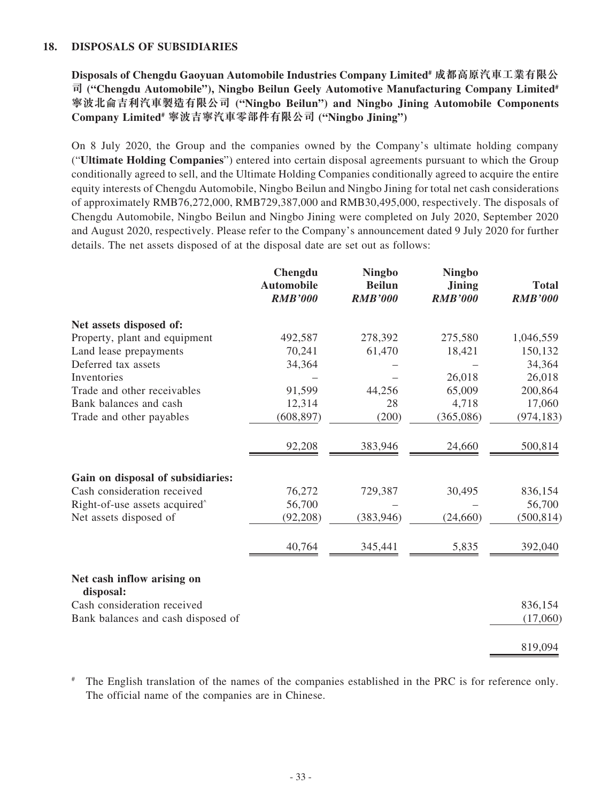### **18. DISPOSALS OF SUBSIDIARIES**

**Disposals of Chengdu Gaoyuan Automobile Industries Company Limited# 成都高原汽車工業有限公** 司 ("Chengdu Automobile"), Ningbo Beilun Geely Automotive Manufacturing Company Limited<sup>#</sup> **寧波北侖吉利汽車製造有限公司 ("Ningbo Beilun") and Ningbo Jining Automobile Components Company Limited# 寧波吉寧汽車零部件有限公司 ("Ningbo Jining")**

On 8 July 2020, the Group and the companies owned by the Company's ultimate holding company ("**Ultimate Holding Companies**") entered into certain disposal agreements pursuant to which the Group conditionally agreed to sell, and the Ultimate Holding Companies conditionally agreed to acquire the entire equity interests of Chengdu Automobile, Ningbo Beilun and Ningbo Jining for total net cash considerations of approximately RMB76,272,000, RMB729,387,000 and RMB30,495,000, respectively. The disposals of Chengdu Automobile, Ningbo Beilun and Ningbo Jining were completed on July 2020, September 2020 and August 2020, respectively. Please refer to the Company's announcement dated 9 July 2020 for further details. The net assets disposed of at the disposal date are set out as follows:

|                                           | Chengdu<br><b>Automobile</b><br><b>RMB'000</b> | <b>Ningbo</b><br><b>Beilun</b><br><b>RMB'000</b> | <b>Ningbo</b><br><b>Jining</b><br><b>RMB'000</b> | <b>Total</b><br><b>RMB'000</b> |
|-------------------------------------------|------------------------------------------------|--------------------------------------------------|--------------------------------------------------|--------------------------------|
| Net assets disposed of:                   |                                                |                                                  |                                                  |                                |
| Property, plant and equipment             | 492,587                                        | 278,392                                          | 275,580                                          | 1,046,559                      |
| Land lease prepayments                    | 70,241                                         | 61,470                                           | 18,421                                           | 150,132                        |
| Deferred tax assets                       | 34,364                                         |                                                  |                                                  | 34,364                         |
| Inventories                               |                                                |                                                  | 26,018                                           | 26,018                         |
| Trade and other receivables               | 91,599                                         | 44,256                                           | 65,009                                           | 200,864                        |
| Bank balances and cash                    | 12,314                                         | 28                                               | 4,718                                            | 17,060                         |
| Trade and other payables                  | (608, 897)                                     | (200)                                            | (365,086)                                        | (974, 183)                     |
|                                           | 92,208                                         | 383,946                                          | 24,660                                           | 500,814                        |
| Gain on disposal of subsidiaries:         |                                                |                                                  |                                                  |                                |
| Cash consideration received               | 76,272                                         | 729,387                                          | 30,495                                           | 836,154                        |
| Right-of-use assets acquired <sup>^</sup> | 56,700                                         |                                                  |                                                  | 56,700                         |
| Net assets disposed of                    | (92, 208)                                      | (383, 946)                                       | (24,660)                                         | (500, 814)                     |
|                                           | 40,764                                         | 345,441                                          | 5,835                                            | 392,040                        |
| Net cash inflow arising on<br>disposal:   |                                                |                                                  |                                                  |                                |
| Cash consideration received               |                                                |                                                  |                                                  | 836,154                        |
| Bank balances and cash disposed of        |                                                |                                                  |                                                  | (17,060)                       |
|                                           |                                                |                                                  |                                                  | 819,094                        |

The English translation of the names of the companies established in the PRC is for reference only. The official name of the companies are in Chinese.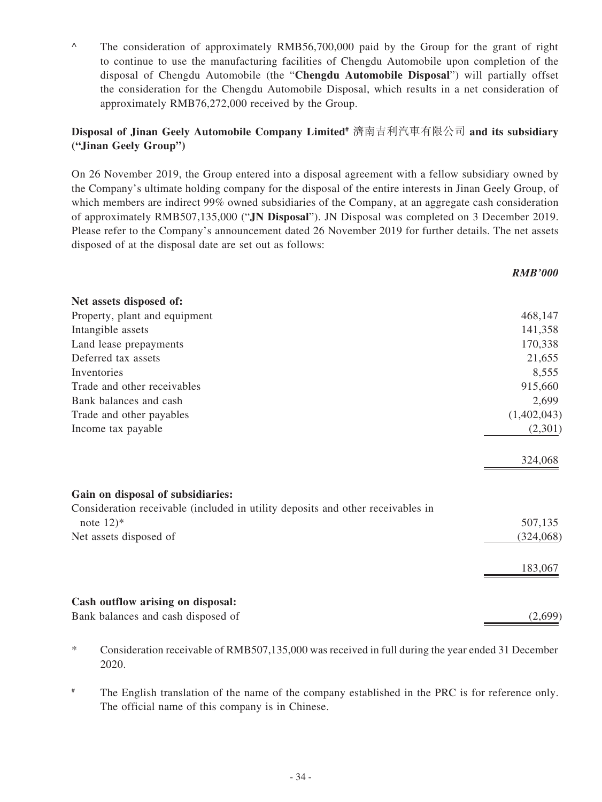^ The consideration of approximately RMB56,700,000 paid by the Group for the grant of right to continue to use the manufacturing facilities of Chengdu Automobile upon completion of the disposal of Chengdu Automobile (the "**Chengdu Automobile Disposal**") will partially offset the consideration for the Chengdu Automobile Disposal, which results in a net consideration of approximately RMB76,272,000 received by the Group.

### **Disposal of Jinan Geely Automobile Company Limited#** 濟南吉利汽車有限公司 **and its subsidiary ("Jinan Geely Group")**

On 26 November 2019, the Group entered into a disposal agreement with a fellow subsidiary owned by the Company's ultimate holding company for the disposal of the entire interests in Jinan Geely Group, of which members are indirect 99% owned subsidiaries of the Company, at an aggregate cash consideration of approximately RMB507,135,000 ("**JN Disposal**"). JN Disposal was completed on 3 December 2019. Please refer to the Company's announcement dated 26 November 2019 for further details. The net assets disposed of at the disposal date are set out as follows:

*RMB'000*

| Net assets disposed of:                                                         |             |
|---------------------------------------------------------------------------------|-------------|
| Property, plant and equipment                                                   | 468,147     |
| Intangible assets                                                               | 141,358     |
| Land lease prepayments                                                          | 170,338     |
| Deferred tax assets                                                             | 21,655      |
| Inventories                                                                     | 8,555       |
| Trade and other receivables                                                     | 915,660     |
| Bank balances and cash                                                          | 2,699       |
| Trade and other payables                                                        | (1,402,043) |
| Income tax payable                                                              | (2,301)     |
|                                                                                 | 324,068     |
| Gain on disposal of subsidiaries:                                               |             |
| Consideration receivable (included in utility deposits and other receivables in |             |
| note $12$ <sup>*</sup>                                                          | 507,135     |
| Net assets disposed of                                                          | (324,068)   |
|                                                                                 | 183,067     |
| Cash outflow arising on disposal:                                               |             |
| Bank balances and cash disposed of                                              | (2,699)     |

- \* Consideration receivable of RMB507,135,000 was received in full during the year ended 31 December 2020.
- <sup>#</sup> The English translation of the name of the company established in the PRC is for reference only. The official name of this company is in Chinese.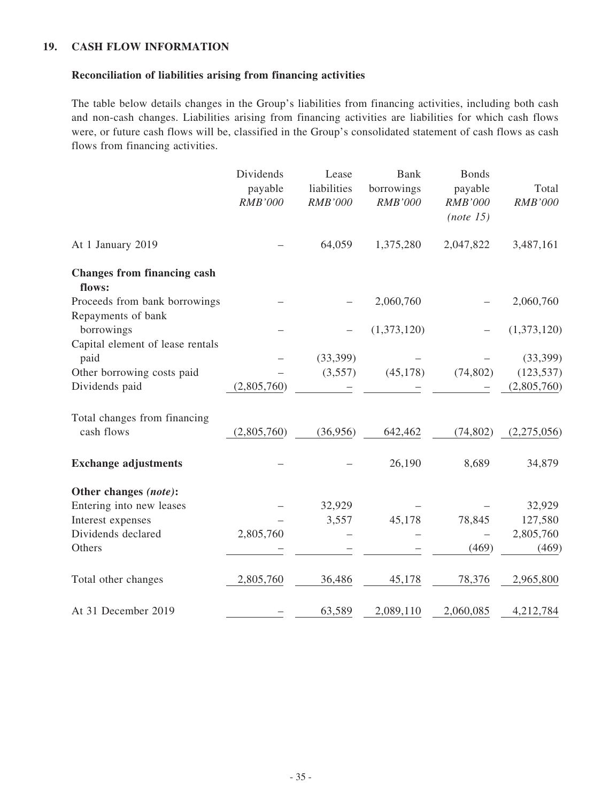### **19. CASH FLOW INFORMATION**

### **Reconciliation of liabilities arising from financing activities**

The table below details changes in the Group's liabilities from financing activities, including both cash and non-cash changes. Liabilities arising from financing activities are liabilities for which cash flows were, or future cash flows will be, classified in the Group's consolidated statement of cash flows as cash flows from financing activities.

|                                              | Dividends<br>payable<br><b>RMB'000</b> | Lease<br>liabilities<br><b>RMB'000</b> | <b>Bank</b><br>borrowings<br><b>RMB'000</b> | <b>Bonds</b><br>payable<br><b>RMB'000</b><br>(note 15) | Total<br><b>RMB'000</b> |
|----------------------------------------------|----------------------------------------|----------------------------------------|---------------------------------------------|--------------------------------------------------------|-------------------------|
| At 1 January 2019                            |                                        | 64,059                                 | 1,375,280                                   | 2,047,822                                              | 3,487,161               |
| <b>Changes from financing cash</b><br>flows: |                                        |                                        |                                             |                                                        |                         |
| Proceeds from bank borrowings                |                                        |                                        | 2,060,760                                   |                                                        | 2,060,760               |
| Repayments of bank                           |                                        |                                        |                                             |                                                        |                         |
| borrowings                                   |                                        |                                        | (1,373,120)                                 |                                                        | (1,373,120)             |
| Capital element of lease rentals             |                                        |                                        |                                             |                                                        |                         |
| paid                                         |                                        | (33,399)                               |                                             |                                                        | (33, 399)               |
| Other borrowing costs paid                   |                                        | (3,557)                                | (45, 178)                                   | (74, 802)                                              | (123, 537)              |
| Dividends paid                               | (2,805,760)                            |                                        |                                             |                                                        | (2,805,760)             |
| Total changes from financing                 |                                        |                                        |                                             |                                                        |                         |
| cash flows                                   | (2,805,760)                            | (36,956)                               | 642,462                                     | (74, 802)                                              | (2,275,056)             |
| <b>Exchange adjustments</b>                  |                                        |                                        | 26,190                                      | 8,689                                                  | 34,879                  |
| Other changes (note):                        |                                        |                                        |                                             |                                                        |                         |
| Entering into new leases                     |                                        | 32,929                                 |                                             |                                                        | 32,929                  |
| Interest expenses                            |                                        | 3,557                                  | 45,178                                      | 78,845                                                 | 127,580                 |
| Dividends declared                           | 2,805,760                              |                                        |                                             |                                                        | 2,805,760               |
| Others                                       |                                        |                                        |                                             | (469)                                                  | (469)                   |
| Total other changes                          | 2,805,760                              | 36,486                                 | 45,178                                      | 78,376                                                 | 2,965,800               |
| At 31 December 2019                          |                                        | 63,589                                 | 2,089,110                                   | 2,060,085                                              | 4,212,784               |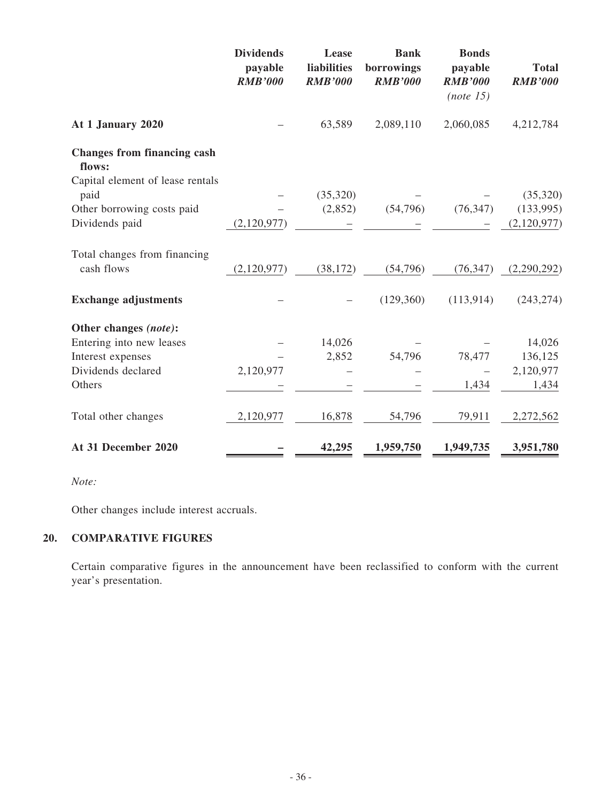|                                              | <b>Dividends</b><br>payable<br><b>RMB'000</b> | Lease<br>liabilities<br><b>RMB'000</b> | <b>Bank</b><br>borrowings<br><b>RMB'000</b> | <b>Bonds</b><br>payable<br><b>RMB'000</b><br>(note 15) | <b>Total</b><br><b>RMB'000</b> |
|----------------------------------------------|-----------------------------------------------|----------------------------------------|---------------------------------------------|--------------------------------------------------------|--------------------------------|
| At 1 January 2020                            |                                               | 63,589                                 | 2,089,110                                   | 2,060,085                                              | 4,212,784                      |
| <b>Changes from financing cash</b><br>flows: |                                               |                                        |                                             |                                                        |                                |
| Capital element of lease rentals             |                                               |                                        |                                             |                                                        |                                |
| paid                                         |                                               | (35,320)                               |                                             |                                                        | (35,320)                       |
| Other borrowing costs paid                   |                                               | (2,852)                                | (54,796)                                    | (76, 347)                                              | (133,995)                      |
| Dividends paid                               | (2,120,977)                                   |                                        |                                             |                                                        | (2,120,977)                    |
| Total changes from financing                 |                                               |                                        |                                             |                                                        |                                |
| cash flows                                   | (2,120,977)                                   | (38, 172)                              | (54,796)                                    | (76, 347)                                              | (2,290,292)                    |
| <b>Exchange adjustments</b>                  |                                               |                                        | (129,360)                                   | (113, 914)                                             | (243, 274)                     |
| Other changes (note):                        |                                               |                                        |                                             |                                                        |                                |
| Entering into new leases                     |                                               | 14,026                                 |                                             |                                                        | 14,026                         |
| Interest expenses                            |                                               | 2,852                                  | 54,796                                      | 78,477                                                 | 136,125                        |
| Dividends declared                           | 2,120,977                                     |                                        |                                             |                                                        | 2,120,977                      |
| Others                                       |                                               |                                        |                                             | 1,434                                                  | 1,434                          |
| Total other changes                          | 2,120,977                                     | 16,878                                 | 54,796                                      | 79,911                                                 | 2,272,562                      |
| At 31 December 2020                          |                                               | 42,295                                 | 1,959,750                                   | 1,949,735                                              | 3,951,780                      |

*Note:*

Other changes include interest accruals.

# **20. COMPARATIVE FIGURES**

Certain comparative figures in the announcement have been reclassified to conform with the current year's presentation.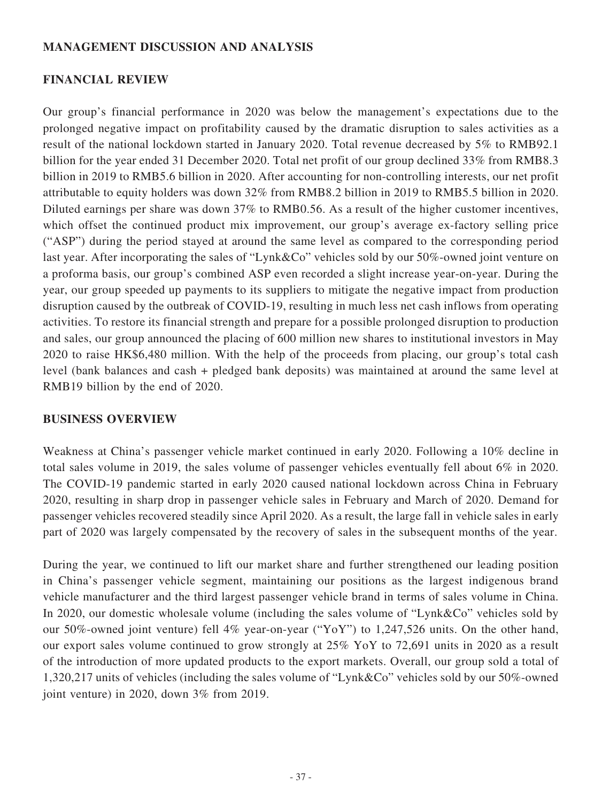## **MANAGEMENT DISCUSSION AND ANALYSIS**

### **FINANCIAL REVIEW**

Our group's financial performance in 2020 was below the management's expectations due to the prolonged negative impact on profitability caused by the dramatic disruption to sales activities as a result of the national lockdown started in January 2020. Total revenue decreased by 5% to RMB92.1 billion for the year ended 31 December 2020. Total net profit of our group declined 33% from RMB8.3 billion in 2019 to RMB5.6 billion in 2020. After accounting for non-controlling interests, our net profit attributable to equity holders was down 32% from RMB8.2 billion in 2019 to RMB5.5 billion in 2020. Diluted earnings per share was down 37% to RMB0.56. As a result of the higher customer incentives, which offset the continued product mix improvement, our group's average ex-factory selling price ("ASP") during the period stayed at around the same level as compared to the corresponding period last year. After incorporating the sales of "Lynk&Co" vehicles sold by our 50%-owned joint venture on a proforma basis, our group's combined ASP even recorded a slight increase year-on-year. During the year, our group speeded up payments to its suppliers to mitigate the negative impact from production disruption caused by the outbreak of COVID-19, resulting in much less net cash inflows from operating activities. To restore its financial strength and prepare for a possible prolonged disruption to production and sales, our group announced the placing of 600 million new shares to institutional investors in May 2020 to raise HK\$6,480 million. With the help of the proceeds from placing, our group's total cash level (bank balances and cash + pledged bank deposits) was maintained at around the same level at RMB19 billion by the end of 2020.

## **BUSINESS OVERVIEW**

Weakness at China's passenger vehicle market continued in early 2020. Following a 10% decline in total sales volume in 2019, the sales volume of passenger vehicles eventually fell about 6% in 2020. The COVID-19 pandemic started in early 2020 caused national lockdown across China in February 2020, resulting in sharp drop in passenger vehicle sales in February and March of 2020. Demand for passenger vehicles recovered steadily since April 2020. As a result, the large fall in vehicle sales in early part of 2020 was largely compensated by the recovery of sales in the subsequent months of the year.

During the year, we continued to lift our market share and further strengthened our leading position in China's passenger vehicle segment, maintaining our positions as the largest indigenous brand vehicle manufacturer and the third largest passenger vehicle brand in terms of sales volume in China. In 2020, our domestic wholesale volume (including the sales volume of "Lynk&Co" vehicles sold by our 50%-owned joint venture) fell 4% year-on-year ("YoY") to 1,247,526 units. On the other hand, our export sales volume continued to grow strongly at 25% YoY to 72,691 units in 2020 as a result of the introduction of more updated products to the export markets. Overall, our group sold a total of 1,320,217 units of vehicles (including the sales volume of "Lynk&Co" vehicles sold by our 50%-owned joint venture) in 2020, down 3% from 2019.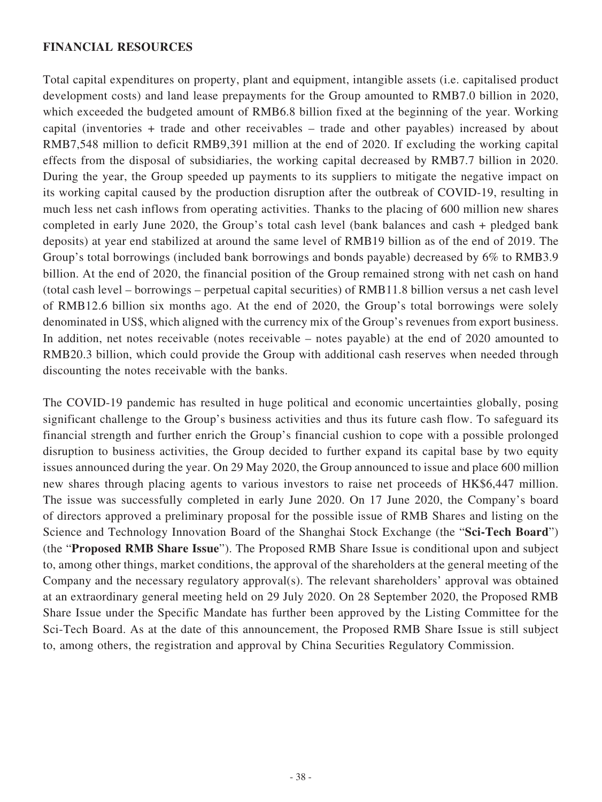## **FINANCIAL RESOURCES**

Total capital expenditures on property, plant and equipment, intangible assets (i.e. capitalised product development costs) and land lease prepayments for the Group amounted to RMB7.0 billion in 2020, which exceeded the budgeted amount of RMB6.8 billion fixed at the beginning of the year. Working capital (inventories + trade and other receivables – trade and other payables) increased by about RMB7,548 million to deficit RMB9,391 million at the end of 2020. If excluding the working capital effects from the disposal of subsidiaries, the working capital decreased by RMB7.7 billion in 2020. During the year, the Group speeded up payments to its suppliers to mitigate the negative impact on its working capital caused by the production disruption after the outbreak of COVID-19, resulting in much less net cash inflows from operating activities. Thanks to the placing of 600 million new shares completed in early June 2020, the Group's total cash level (bank balances and cash + pledged bank deposits) at year end stabilized at around the same level of RMB19 billion as of the end of 2019. The Group's total borrowings (included bank borrowings and bonds payable) decreased by 6% to RMB3.9 billion. At the end of 2020, the financial position of the Group remained strong with net cash on hand (total cash level – borrowings – perpetual capital securities) of RMB11.8 billion versus a net cash level of RMB12.6 billion six months ago. At the end of 2020, the Group's total borrowings were solely denominated in US\$, which aligned with the currency mix of the Group's revenues from export business. In addition, net notes receivable (notes receivable – notes payable) at the end of 2020 amounted to RMB20.3 billion, which could provide the Group with additional cash reserves when needed through discounting the notes receivable with the banks.

The COVID-19 pandemic has resulted in huge political and economic uncertainties globally, posing significant challenge to the Group's business activities and thus its future cash flow. To safeguard its financial strength and further enrich the Group's financial cushion to cope with a possible prolonged disruption to business activities, the Group decided to further expand its capital base by two equity issues announced during the year. On 29 May 2020, the Group announced to issue and place 600 million new shares through placing agents to various investors to raise net proceeds of HK\$6,447 million. The issue was successfully completed in early June 2020. On 17 June 2020, the Company's board of directors approved a preliminary proposal for the possible issue of RMB Shares and listing on the Science and Technology Innovation Board of the Shanghai Stock Exchange (the "**Sci-Tech Board**") (the "**Proposed RMB Share Issue**"). The Proposed RMB Share Issue is conditional upon and subject to, among other things, market conditions, the approval of the shareholders at the general meeting of the Company and the necessary regulatory approval(s). The relevant shareholders' approval was obtained at an extraordinary general meeting held on 29 July 2020. On 28 September 2020, the Proposed RMB Share Issue under the Specific Mandate has further been approved by the Listing Committee for the Sci-Tech Board. As at the date of this announcement, the Proposed RMB Share Issue is still subject to, among others, the registration and approval by China Securities Regulatory Commission.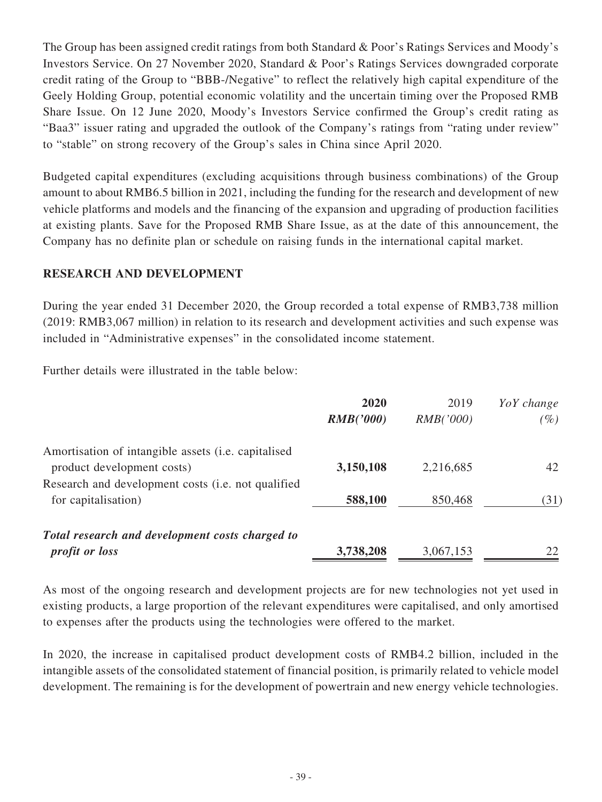The Group has been assigned credit ratings from both Standard & Poor's Ratings Services and Moody's Investors Service. On 27 November 2020, Standard & Poor's Ratings Services downgraded corporate credit rating of the Group to "BBB-/Negative" to reflect the relatively high capital expenditure of the Geely Holding Group, potential economic volatility and the uncertain timing over the Proposed RMB Share Issue. On 12 June 2020, Moody's Investors Service confirmed the Group's credit rating as "Baa3" issuer rating and upgraded the outlook of the Company's ratings from "rating under review" to "stable" on strong recovery of the Group's sales in China since April 2020.

Budgeted capital expenditures (excluding acquisitions through business combinations) of the Group amount to about RMB6.5 billion in 2021, including the funding for the research and development of new vehicle platforms and models and the financing of the expansion and upgrading of production facilities at existing plants. Save for the Proposed RMB Share Issue, as at the date of this announcement, the Company has no definite plan or schedule on raising funds in the international capital market.

## **RESEARCH AND DEVELOPMENT**

During the year ended 31 December 2020, the Group recorded a total expense of RMB3,738 million (2019: RMB3,067 million) in relation to its research and development activities and such expense was included in "Administrative expenses" in the consolidated income statement.

Further details were illustrated in the table below:

|                                                     | 2020<br>RMB('000) | 2019<br>RMB('000) | YoY change<br>$(\%)$ |
|-----------------------------------------------------|-------------------|-------------------|----------------------|
| Amortisation of intangible assets (i.e. capitalised |                   |                   |                      |
| product development costs)                          | 3,150,108         | 2,216,685         | 42                   |
| Research and development costs (i.e. not qualified  |                   |                   |                      |
| for capitalisation)                                 | 588,100           | 850,468           | (31)                 |
| Total research and development costs charged to     |                   |                   |                      |
| <i>profit or loss</i>                               | 3,738,208         | 3,067,153         | 22                   |

As most of the ongoing research and development projects are for new technologies not yet used in existing products, a large proportion of the relevant expenditures were capitalised, and only amortised to expenses after the products using the technologies were offered to the market.

In 2020, the increase in capitalised product development costs of RMB4.2 billion, included in the intangible assets of the consolidated statement of financial position, is primarily related to vehicle model development. The remaining is for the development of powertrain and new energy vehicle technologies.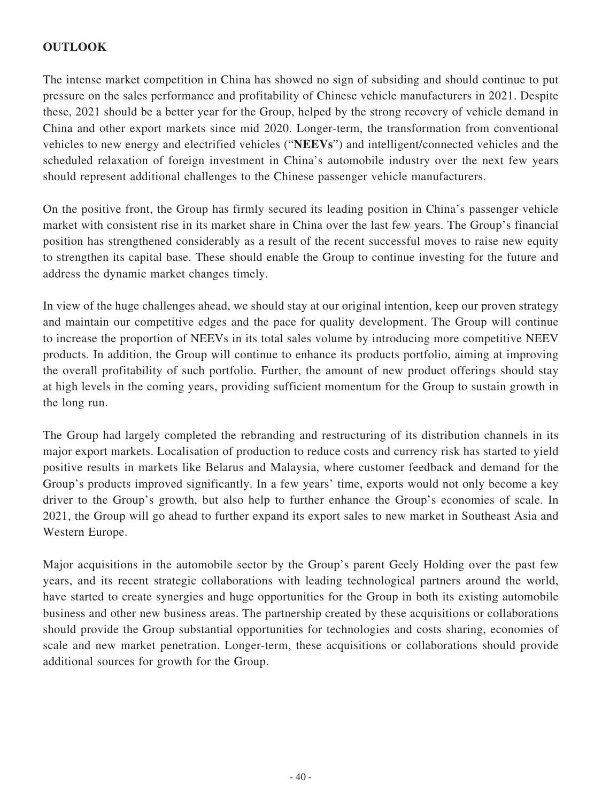# **OUTLOOK**

The intense market competition in China has showed no sign of subsiding and should continue to put pressure on the sales performance and profitability of Chinese vehicle manufacturers in 2021. Despite these, 2021 should be a better year for the Group, helped by the strong recovery of vehicle demand in China and other export markets since mid 2020. Longer-term, the transformation from conventional vehicles to new energy and electrified vehicles ("**NEEVs**") and intelligent/connected vehicles and the scheduled relaxation of foreign investment in China's automobile industry over the next few years should represent additional challenges to the Chinese passenger vehicle manufacturers.

On the positive front, the Group has firmly secured its leading position in China's passenger vehicle market with consistent rise in its market share in China over the last few years. The Group's financial position has strengthened considerably as a result of the recent successful moves to raise new equity to strengthen its capital base. These should enable the Group to continue investing for the future and address the dynamic market changes timely.

In view of the huge challenges ahead, we should stay at our original intention, keep our proven strategy and maintain our competitive edges and the pace for quality development. The Group will continue to increase the proportion of NEEVs in its total sales volume by introducing more competitive NEEV products. In addition, the Group will continue to enhance its products portfolio, aiming at improving the overall profitability of such portfolio. Further, the amount of new product offerings should stay at high levels in the coming years, providing sufficient momentum for the Group to sustain growth in the long run.

The Group had largely completed the rebranding and restructuring of its distribution channels in its major export markets. Localisation of production to reduce costs and currency risk has started to yield positive results in markets like Belarus and Malaysia, where customer feedback and demand for the Group's products improved significantly. In a few years' time, exports would not only become a key driver to the Group's growth, but also help to further enhance the Group's economies of scale. In 2021, the Group will go ahead to further expand its export sales to new market in Southeast Asia and Western Europe.

Major acquisitions in the automobile sector by the Group's parent Geely Holding over the past few years, and its recent strategic collaborations with leading technological partners around the world, have started to create synergies and huge opportunities for the Group in both its existing automobile business and other new business areas. The partnership created by these acquisitions or collaborations should provide the Group substantial opportunities for technologies and costs sharing, economies of scale and new market penetration. Longer-term, these acquisitions or collaborations should provide additional sources for growth for the Group.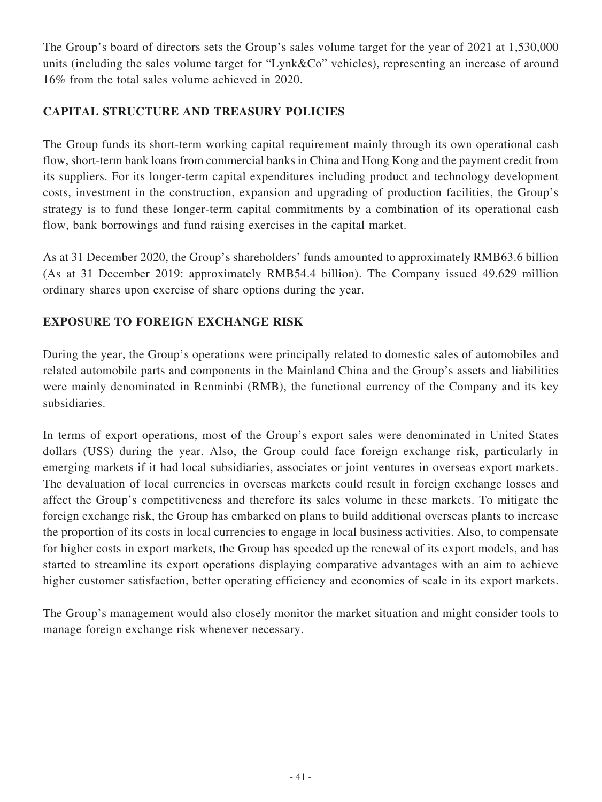The Group's board of directors sets the Group's sales volume target for the year of 2021 at 1,530,000 units (including the sales volume target for "Lynk&Co" vehicles), representing an increase of around 16% from the total sales volume achieved in 2020.

# **CAPITAL STRUCTURE AND TREASURY POLICIES**

The Group funds its short-term working capital requirement mainly through its own operational cash flow, short-term bank loans from commercial banks in China and Hong Kong and the payment credit from its suppliers. For its longer-term capital expenditures including product and technology development costs, investment in the construction, expansion and upgrading of production facilities, the Group's strategy is to fund these longer-term capital commitments by a combination of its operational cash flow, bank borrowings and fund raising exercises in the capital market.

As at 31 December 2020, the Group's shareholders' funds amounted to approximately RMB63.6 billion (As at 31 December 2019: approximately RMB54.4 billion). The Company issued 49.629 million ordinary shares upon exercise of share options during the year.

# **EXPOSURE TO FOREIGN EXCHANGE RISK**

During the year, the Group's operations were principally related to domestic sales of automobiles and related automobile parts and components in the Mainland China and the Group's assets and liabilities were mainly denominated in Renminbi (RMB), the functional currency of the Company and its key subsidiaries.

In terms of export operations, most of the Group's export sales were denominated in United States dollars (US\$) during the year. Also, the Group could face foreign exchange risk, particularly in emerging markets if it had local subsidiaries, associates or joint ventures in overseas export markets. The devaluation of local currencies in overseas markets could result in foreign exchange losses and affect the Group's competitiveness and therefore its sales volume in these markets. To mitigate the foreign exchange risk, the Group has embarked on plans to build additional overseas plants to increase the proportion of its costs in local currencies to engage in local business activities. Also, to compensate for higher costs in export markets, the Group has speeded up the renewal of its export models, and has started to streamline its export operations displaying comparative advantages with an aim to achieve higher customer satisfaction, better operating efficiency and economies of scale in its export markets.

The Group's management would also closely monitor the market situation and might consider tools to manage foreign exchange risk whenever necessary.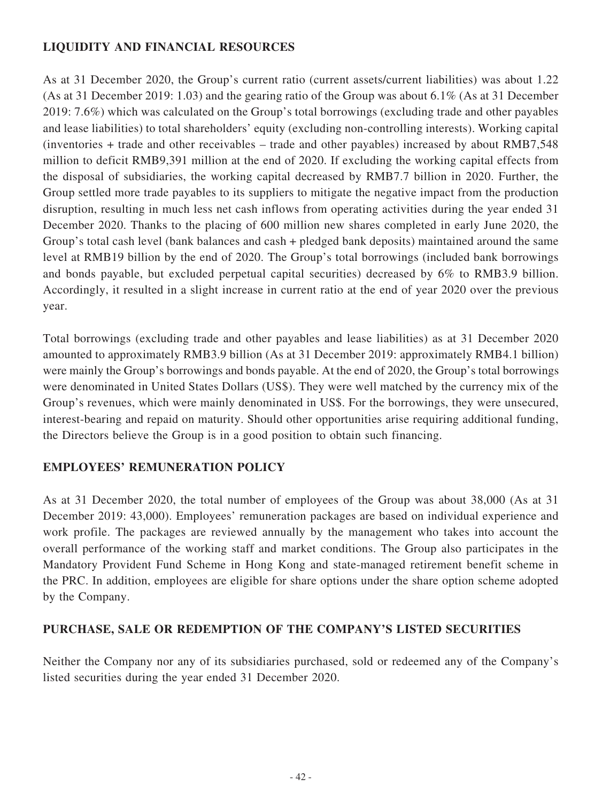# **LIQUIDITY AND FINANCIAL RESOURCES**

As at 31 December 2020, the Group's current ratio (current assets/current liabilities) was about 1.22 (As at 31 December 2019: 1.03) and the gearing ratio of the Group was about 6.1% (As at 31 December 2019: 7.6%) which was calculated on the Group's total borrowings (excluding trade and other payables and lease liabilities) to total shareholders' equity (excluding non-controlling interests). Working capital (inventories + trade and other receivables – trade and other payables) increased by about RMB7,548 million to deficit RMB9,391 million at the end of 2020. If excluding the working capital effects from the disposal of subsidiaries, the working capital decreased by RMB7.7 billion in 2020. Further, the Group settled more trade payables to its suppliers to mitigate the negative impact from the production disruption, resulting in much less net cash inflows from operating activities during the year ended 31 December 2020. Thanks to the placing of 600 million new shares completed in early June 2020, the Group's total cash level (bank balances and cash + pledged bank deposits) maintained around the same level at RMB19 billion by the end of 2020. The Group's total borrowings (included bank borrowings and bonds payable, but excluded perpetual capital securities) decreased by 6% to RMB3.9 billion. Accordingly, it resulted in a slight increase in current ratio at the end of year 2020 over the previous year.

Total borrowings (excluding trade and other payables and lease liabilities) as at 31 December 2020 amounted to approximately RMB3.9 billion (As at 31 December 2019: approximately RMB4.1 billion) were mainly the Group's borrowings and bonds payable. At the end of 2020, the Group's total borrowings were denominated in United States Dollars (US\$). They were well matched by the currency mix of the Group's revenues, which were mainly denominated in US\$. For the borrowings, they were unsecured, interest-bearing and repaid on maturity. Should other opportunities arise requiring additional funding, the Directors believe the Group is in a good position to obtain such financing.

# **EMPLOYEES' REMUNERATION POLICY**

As at 31 December 2020, the total number of employees of the Group was about 38,000 (As at 31 December 2019: 43,000). Employees' remuneration packages are based on individual experience and work profile. The packages are reviewed annually by the management who takes into account the overall performance of the working staff and market conditions. The Group also participates in the Mandatory Provident Fund Scheme in Hong Kong and state-managed retirement benefit scheme in the PRC. In addition, employees are eligible for share options under the share option scheme adopted by the Company.

# **PURCHASE, SALE OR REDEMPTION OF THE COMPANY'S LISTED SECURITIES**

Neither the Company nor any of its subsidiaries purchased, sold or redeemed any of the Company's listed securities during the year ended 31 December 2020.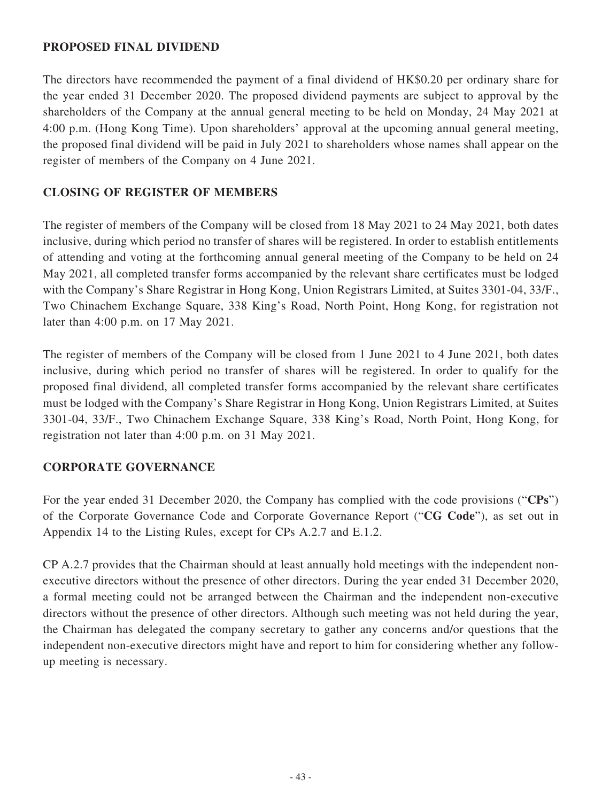## **PROPOSED FINAL DIVIDEND**

The directors have recommended the payment of a final dividend of HK\$0.20 per ordinary share for the year ended 31 December 2020. The proposed dividend payments are subject to approval by the shareholders of the Company at the annual general meeting to be held on Monday, 24 May 2021 at 4:00 p.m. (Hong Kong Time). Upon shareholders' approval at the upcoming annual general meeting, the proposed final dividend will be paid in July 2021 to shareholders whose names shall appear on the register of members of the Company on 4 June 2021.

# **CLOSING OF REGISTER OF MEMBERS**

The register of members of the Company will be closed from 18 May 2021 to 24 May 2021, both dates inclusive, during which period no transfer of shares will be registered. In order to establish entitlements of attending and voting at the forthcoming annual general meeting of the Company to be held on 24 May 2021, all completed transfer forms accompanied by the relevant share certificates must be lodged with the Company's Share Registrar in Hong Kong, Union Registrars Limited, at Suites 3301-04, 33/F., Two Chinachem Exchange Square, 338 King's Road, North Point, Hong Kong, for registration not later than 4:00 p.m. on 17 May 2021.

The register of members of the Company will be closed from 1 June 2021 to 4 June 2021, both dates inclusive, during which period no transfer of shares will be registered. In order to qualify for the proposed final dividend, all completed transfer forms accompanied by the relevant share certificates must be lodged with the Company's Share Registrar in Hong Kong, Union Registrars Limited, at Suites 3301-04, 33/F., Two Chinachem Exchange Square, 338 King's Road, North Point, Hong Kong, for registration not later than 4:00 p.m. on 31 May 2021.

# **CORPORATE GOVERNANCE**

For the year ended 31 December 2020, the Company has complied with the code provisions ("**CPs**") of the Corporate Governance Code and Corporate Governance Report ("**CG Code**"), as set out in Appendix 14 to the Listing Rules, except for CPs A.2.7 and E.1.2.

CP A.2.7 provides that the Chairman should at least annually hold meetings with the independent nonexecutive directors without the presence of other directors. During the year ended 31 December 2020, a formal meeting could not be arranged between the Chairman and the independent non-executive directors without the presence of other directors. Although such meeting was not held during the year, the Chairman has delegated the company secretary to gather any concerns and/or questions that the independent non-executive directors might have and report to him for considering whether any followup meeting is necessary.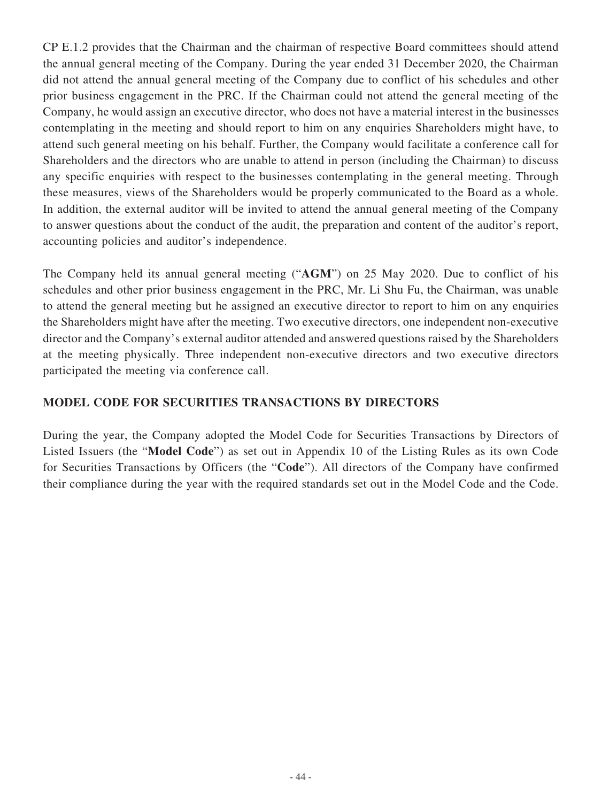CP E.1.2 provides that the Chairman and the chairman of respective Board committees should attend the annual general meeting of the Company. During the year ended 31 December 2020, the Chairman did not attend the annual general meeting of the Company due to conflict of his schedules and other prior business engagement in the PRC. If the Chairman could not attend the general meeting of the Company, he would assign an executive director, who does not have a material interest in the businesses contemplating in the meeting and should report to him on any enquiries Shareholders might have, to attend such general meeting on his behalf. Further, the Company would facilitate a conference call for Shareholders and the directors who are unable to attend in person (including the Chairman) to discuss any specific enquiries with respect to the businesses contemplating in the general meeting. Through these measures, views of the Shareholders would be properly communicated to the Board as a whole. In addition, the external auditor will be invited to attend the annual general meeting of the Company to answer questions about the conduct of the audit, the preparation and content of the auditor's report, accounting policies and auditor's independence.

The Company held its annual general meeting ("**AGM**") on 25 May 2020. Due to conflict of his schedules and other prior business engagement in the PRC, Mr. Li Shu Fu, the Chairman, was unable to attend the general meeting but he assigned an executive director to report to him on any enquiries the Shareholders might have after the meeting. Two executive directors, one independent non-executive director and the Company's external auditor attended and answered questions raised by the Shareholders at the meeting physically. Three independent non-executive directors and two executive directors participated the meeting via conference call.

# **MODEL CODE FOR SECURITIES TRANSACTIONS BY DIRECTORS**

During the year, the Company adopted the Model Code for Securities Transactions by Directors of Listed Issuers (the "**Model Code**") as set out in Appendix 10 of the Listing Rules as its own Code for Securities Transactions by Officers (the "**Code**"). All directors of the Company have confirmed their compliance during the year with the required standards set out in the Model Code and the Code.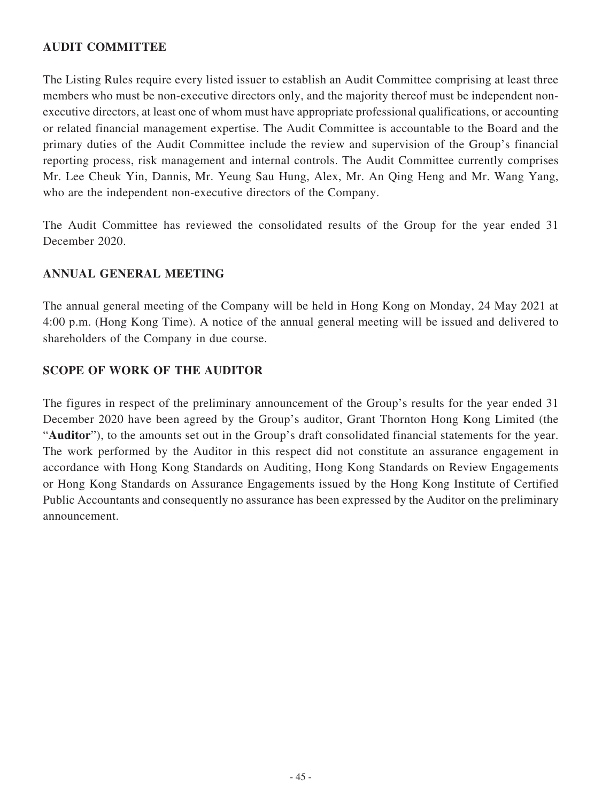# **AUDIT COMMITTEE**

The Listing Rules require every listed issuer to establish an Audit Committee comprising at least three members who must be non-executive directors only, and the majority thereof must be independent nonexecutive directors, at least one of whom must have appropriate professional qualifications, or accounting or related financial management expertise. The Audit Committee is accountable to the Board and the primary duties of the Audit Committee include the review and supervision of the Group's financial reporting process, risk management and internal controls. The Audit Committee currently comprises Mr. Lee Cheuk Yin, Dannis, Mr. Yeung Sau Hung, Alex, Mr. An Qing Heng and Mr. Wang Yang, who are the independent non-executive directors of the Company.

The Audit Committee has reviewed the consolidated results of the Group for the year ended 31 December 2020.

## **ANNUAL GENERAL MEETING**

The annual general meeting of the Company will be held in Hong Kong on Monday, 24 May 2021 at 4:00 p.m. (Hong Kong Time). A notice of the annual general meeting will be issued and delivered to shareholders of the Company in due course.

## **SCOPE OF WORK OF THE AUDITOR**

The figures in respect of the preliminary announcement of the Group's results for the year ended 31 December 2020 have been agreed by the Group's auditor, Grant Thornton Hong Kong Limited (the "**Auditor**"), to the amounts set out in the Group's draft consolidated financial statements for the year. The work performed by the Auditor in this respect did not constitute an assurance engagement in accordance with Hong Kong Standards on Auditing, Hong Kong Standards on Review Engagements or Hong Kong Standards on Assurance Engagements issued by the Hong Kong Institute of Certified Public Accountants and consequently no assurance has been expressed by the Auditor on the preliminary announcement.